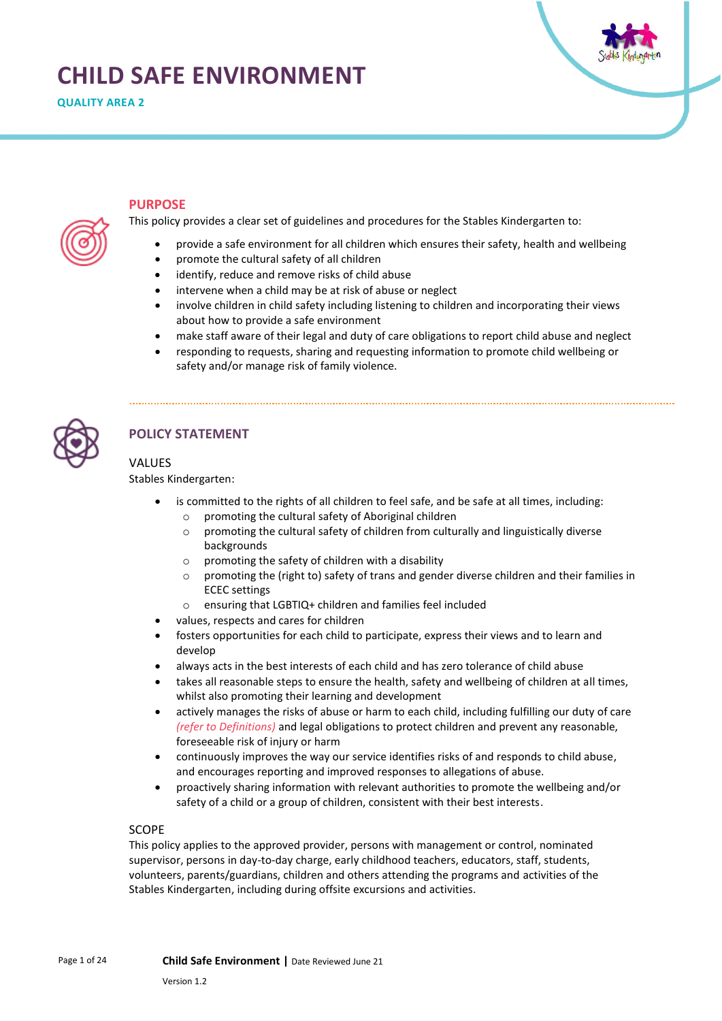# **CHILD SAFE ENVIRONMENT**



# **PURPOSE**

This policy provides a clear set of guidelines and procedures for the Stables Kindergarten to:

- provide a safe environment for all children which ensures their safety, health and wellbeing
- promote the cultural safety of all children
- identify, reduce and remove risks of child abuse
- intervene when a child may be at risk of abuse or neglect
- involve children in child safety including listening to children and incorporating their views about how to provide a safe environment
- make staff aware of their legal and duty of care obligations to report child abuse and neglect
- responding to requests, sharing and requesting information to promote child wellbeing or safety and/or manage risk of family violence.



# **POLICY STATEMENT**

# VALUES

Stables Kindergarten:

- is committed to the rights of all children to feel safe, and be safe at all times, including:
	- o promoting the cultural safety of Aboriginal children
	- $\circ$  promoting the cultural safety of children from culturally and linguistically diverse backgrounds
	- o promoting the safety of children with a disability
	- $\circ$  promoting the (right to) safety of trans and gender diverse children and their families in ECEC settings
	- o ensuring that LGBTIQ+ children and families feel included
- values, respects and cares for children
- fosters opportunities for each child to participate, express their views and to learn and develop
- always acts in the best interests of each child and has zero tolerance of child abuse
- takes all reasonable steps to ensure the health, safety and wellbeing of children at all times, whilst also promoting their learning and development
- actively manages the risks of abuse or harm to each child, including fulfilling our duty of care *(refer to Definitions)* and legal obligations to protect children and prevent any reasonable, foreseeable risk of injury or harm
- continuously improves the way our service identifies risks of and responds to child abuse, and encourages reporting and improved responses to allegations of abuse.
- proactively sharing information with relevant authorities to promote the wellbeing and/or safety of a child or a group of children, consistent with their best interests.

# SCOPE

This policy applies to the approved provider, persons with management or control, nominated supervisor, persons in day-to-day charge, early childhood teachers, educators, staff, students, volunteers, parents/guardians, children and others attending the programs and activities of the Stables Kindergarten, including during offsite excursions and activities.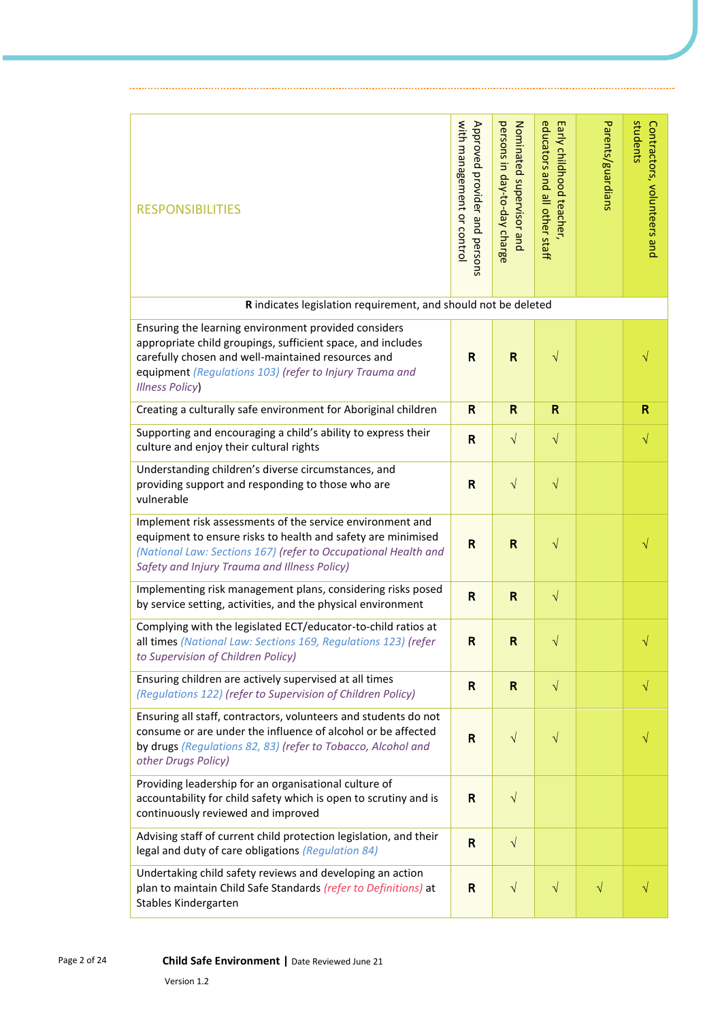| <b>RESPONSIBILITIES</b>                                                                                                                                                                                                                                         | with management or control<br>Approved provider and persons | persons in day-to-day charge<br>Nominated supervisor and | educators and all other staff<br>Early childhood teacher, | Parents/guardians | students<br>Contractors, volunteers and |
|-----------------------------------------------------------------------------------------------------------------------------------------------------------------------------------------------------------------------------------------------------------------|-------------------------------------------------------------|----------------------------------------------------------|-----------------------------------------------------------|-------------------|-----------------------------------------|
| R indicates legislation requirement, and should not be deleted                                                                                                                                                                                                  |                                                             |                                                          |                                                           |                   |                                         |
| Ensuring the learning environment provided considers<br>appropriate child groupings, sufficient space, and includes<br>carefully chosen and well-maintained resources and<br>equipment (Regulations 103) (refer to Injury Trauma and<br><b>Illness Policy</b> ) | $\mathsf{R}$                                                | $\mathsf{R}$                                             | $\sqrt{}$                                                 |                   |                                         |
| Creating a culturally safe environment for Aboriginal children                                                                                                                                                                                                  | $\mathsf{R}$                                                | $\mathsf{R}$                                             | R                                                         |                   | R                                       |
| Supporting and encouraging a child's ability to express their<br>culture and enjoy their cultural rights                                                                                                                                                        | $\mathbf R$                                                 | $\sqrt{}$                                                | $\sqrt{}$                                                 |                   | $\sqrt{}$                               |
| Understanding children's diverse circumstances, and<br>providing support and responding to those who are<br>vulnerable                                                                                                                                          | $\mathsf{R}$                                                | $\sqrt{}$                                                | $\sqrt{}$                                                 |                   |                                         |
| Implement risk assessments of the service environment and<br>equipment to ensure risks to health and safety are minimised<br>(National Law: Sections 167) (refer to Occupational Health and<br>Safety and Injury Trauma and Illness Policy)                     | $\mathsf{R}$                                                | $\mathsf{R}$                                             | $\sqrt{}$                                                 |                   |                                         |
| Implementing risk management plans, considering risks posed<br>by service setting, activities, and the physical environment                                                                                                                                     | R                                                           | R                                                        | $\sqrt{}$                                                 |                   |                                         |
| Complying with the legislated ECT/educator-to-child ratios at<br>all times (National Law: Sections 169, Regulations 123) (refer<br>to Supervision of Children Policy)                                                                                           | R                                                           | R                                                        | $\sqrt{}$                                                 |                   | $\sqrt{}$                               |
| Ensuring children are actively supervised at all times<br>(Regulations 122) (refer to Supervision of Children Policy)                                                                                                                                           | $\mathsf{R}$                                                | $\mathsf{R}$                                             | $\sqrt{}$                                                 |                   | $\sqrt{ }$                              |
| Ensuring all staff, contractors, volunteers and students do not<br>consume or are under the influence of alcohol or be affected<br>by drugs (Regulations 82, 83) (refer to Tobacco, Alcohol and<br>other Drugs Policy)                                          | R                                                           | $\sqrt{}$                                                | $\sqrt{}$                                                 |                   |                                         |
| Providing leadership for an organisational culture of<br>accountability for child safety which is open to scrutiny and is<br>continuously reviewed and improved                                                                                                 | $\mathbf R$                                                 | $\sqrt{}$                                                |                                                           |                   |                                         |
| Advising staff of current child protection legislation, and their<br>legal and duty of care obligations (Regulation 84)                                                                                                                                         | $\mathsf{R}$                                                | $\sqrt{}$                                                |                                                           |                   |                                         |
| Undertaking child safety reviews and developing an action<br>plan to maintain Child Safe Standards (refer to Definitions) at<br>Stables Kindergarten                                                                                                            | R                                                           | $\sqrt{}$                                                | $\sqrt{}$                                                 | $\sqrt{}$         |                                         |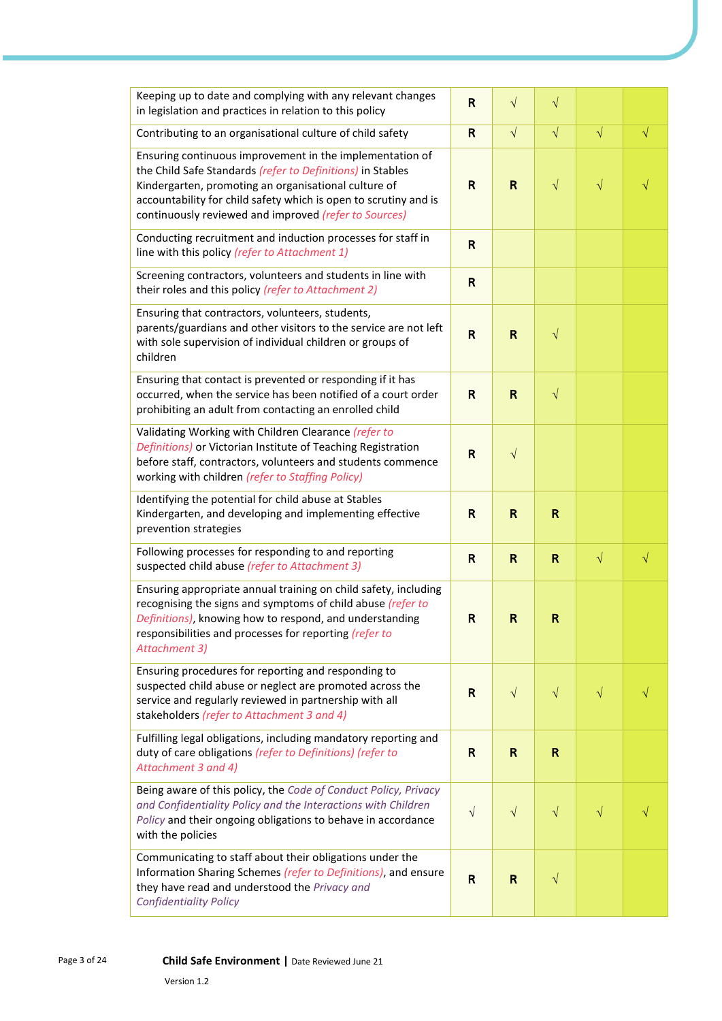| Keeping up to date and complying with any relevant changes<br>in legislation and practices in relation to this policy                                                                                                                                                                                       | R                       | $\sqrt{}$    | $\sqrt{}$ |           |           |
|-------------------------------------------------------------------------------------------------------------------------------------------------------------------------------------------------------------------------------------------------------------------------------------------------------------|-------------------------|--------------|-----------|-----------|-----------|
| Contributing to an organisational culture of child safety                                                                                                                                                                                                                                                   | $\mathsf{R}$            | $\sqrt{ }$   | $\sqrt{}$ | $\sqrt{}$ | $\sqrt{}$ |
| Ensuring continuous improvement in the implementation of<br>the Child Safe Standards (refer to Definitions) in Stables<br>Kindergarten, promoting an organisational culture of<br>accountability for child safety which is open to scrutiny and is<br>continuously reviewed and improved (refer to Sources) | $\mathsf{R}$            | $\mathsf{R}$ | $\sqrt{}$ | $\sqrt{}$ |           |
| Conducting recruitment and induction processes for staff in<br>line with this policy (refer to Attachment 1)                                                                                                                                                                                                | R                       |              |           |           |           |
| Screening contractors, volunteers and students in line with<br>their roles and this policy (refer to Attachment 2)                                                                                                                                                                                          | $\mathsf{R}$            |              |           |           |           |
| Ensuring that contractors, volunteers, students,<br>parents/guardians and other visitors to the service are not left<br>with sole supervision of individual children or groups of<br>children                                                                                                               | $\mathsf{R}$            | $\mathsf{R}$ | $\sqrt{}$ |           |           |
| Ensuring that contact is prevented or responding if it has<br>occurred, when the service has been notified of a court order<br>prohibiting an adult from contacting an enrolled child                                                                                                                       | $\mathsf{R}$            | $\mathsf{R}$ | $\sqrt{}$ |           |           |
| Validating Working with Children Clearance (refer to<br>Definitions) or Victorian Institute of Teaching Registration<br>before staff, contractors, volunteers and students commence<br>working with children (refer to Staffing Policy)                                                                     | R                       | $\sqrt{}$    |           |           |           |
| Identifying the potential for child abuse at Stables<br>Kindergarten, and developing and implementing effective<br>prevention strategies                                                                                                                                                                    | $\mathsf{R}$            | $\mathsf R$  | R         |           |           |
| Following processes for responding to and reporting<br>suspected child abuse (refer to Attachment 3)                                                                                                                                                                                                        | R                       | $\mathsf{R}$ | R         | $\sqrt{}$ | $\sqrt{}$ |
| Ensuring appropriate annual training on child safety, including<br>recognising the signs and symptoms of child abuse (refer to<br>Definitions), knowing how to respond, and understanding<br>responsibilities and processes for reporting (refer to<br>Attachment 3)                                        | $\mathsf{R}$            | $\mathsf{R}$ | R         |           |           |
| Ensuring procedures for reporting and responding to<br>suspected child abuse or neglect are promoted across the<br>service and regularly reviewed in partnership with all<br>stakeholders (refer to Attachment 3 and 4)                                                                                     | R                       | $\sqrt{}$    | $\sqrt{}$ | $\sqrt{}$ |           |
| Fulfilling legal obligations, including mandatory reporting and<br>duty of care obligations (refer to Definitions) (refer to<br>Attachment 3 and 4)                                                                                                                                                         | $\mathsf{R}$            | $\mathsf{R}$ | R         |           |           |
| Being aware of this policy, the Code of Conduct Policy, Privacy<br>and Confidentiality Policy and the Interactions with Children<br>Policy and their ongoing obligations to behave in accordance<br>with the policies                                                                                       | $\sqrt{}$               | $\sqrt{}$    | $\sqrt{}$ | $\sqrt{}$ |           |
| Communicating to staff about their obligations under the<br>Information Sharing Schemes (refer to Definitions), and ensure<br>they have read and understood the Privacy and<br><b>Confidentiality Policy</b>                                                                                                | $\overline{\mathsf{R}}$ | $\mathsf{R}$ | $\sqrt{}$ |           |           |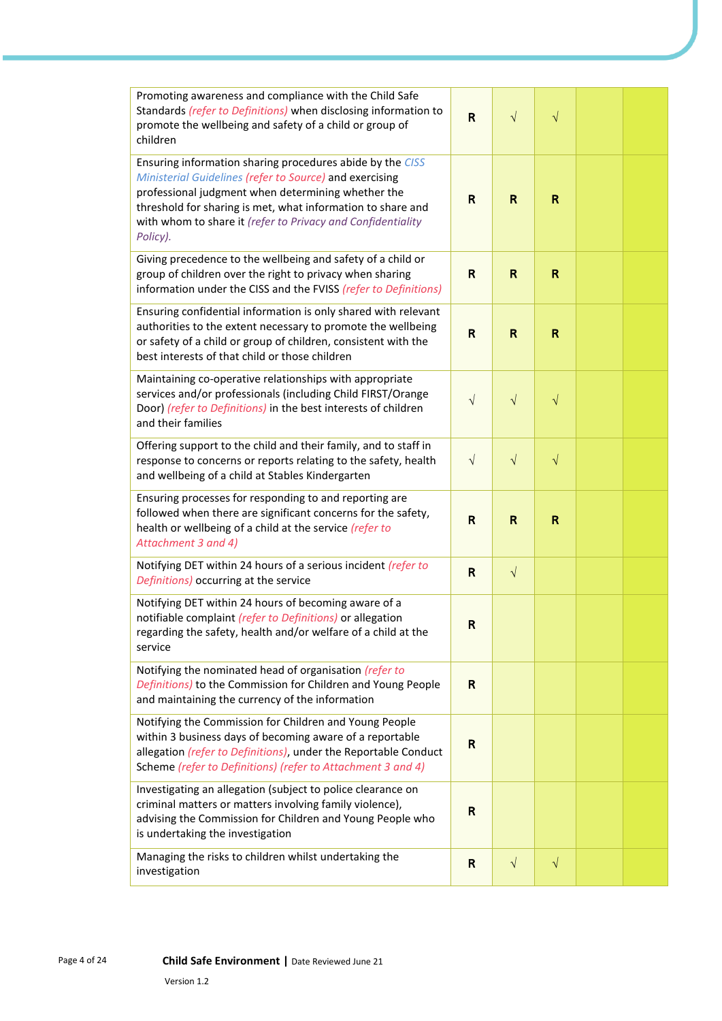| Promoting awareness and compliance with the Child Safe<br>Standards (refer to Definitions) when disclosing information to<br>promote the wellbeing and safety of a child or group of<br>children                                                                                                                     | R            | $\sqrt{}$    | $\sqrt{}$ |  |
|----------------------------------------------------------------------------------------------------------------------------------------------------------------------------------------------------------------------------------------------------------------------------------------------------------------------|--------------|--------------|-----------|--|
| Ensuring information sharing procedures abide by the CISS<br>Ministerial Guidelines (refer to Source) and exercising<br>professional judgment when determining whether the<br>threshold for sharing is met, what information to share and<br>with whom to share it (refer to Privacy and Confidentiality<br>Policy). | R            | $\mathsf{R}$ | R         |  |
| Giving precedence to the wellbeing and safety of a child or<br>group of children over the right to privacy when sharing<br>information under the CISS and the FVISS (refer to Definitions)                                                                                                                           | R            | R            | R         |  |
| Ensuring confidential information is only shared with relevant<br>authorities to the extent necessary to promote the wellbeing<br>or safety of a child or group of children, consistent with the<br>best interests of that child or those children                                                                   | $\mathsf{R}$ | $\mathbf R$  | R         |  |
| Maintaining co-operative relationships with appropriate<br>services and/or professionals (including Child FIRST/Orange<br>Door) (refer to Definitions) in the best interests of children<br>and their families                                                                                                       | $\sqrt{}$    | $\sqrt{}$    | $\sqrt{}$ |  |
| Offering support to the child and their family, and to staff in<br>response to concerns or reports relating to the safety, health<br>and wellbeing of a child at Stables Kindergarten                                                                                                                                | $\sqrt{ }$   | $\sqrt{}$    | $\sqrt{}$ |  |
| Ensuring processes for responding to and reporting are<br>followed when there are significant concerns for the safety,<br>health or wellbeing of a child at the service (refer to<br>Attachment 3 and 4)                                                                                                             | R            | $\mathsf{R}$ | R         |  |
| Notifying DET within 24 hours of a serious incident (refer to<br>Definitions) occurring at the service                                                                                                                                                                                                               | $\mathsf{R}$ | $\sqrt{}$    |           |  |
| Notifying DET within 24 hours of becoming aware of a<br>notifiable complaint (refer to Definitions) or allegation<br>regarding the safety, health and/or welfare of a child at the<br>service                                                                                                                        | R            |              |           |  |
| Notifying the nominated head of organisation (refer to<br>Definitions) to the Commission for Children and Young People<br>and maintaining the currency of the information                                                                                                                                            | R            |              |           |  |
| Notifying the Commission for Children and Young People<br>within 3 business days of becoming aware of a reportable<br>allegation (refer to Definitions), under the Reportable Conduct<br>Scheme (refer to Definitions) (refer to Attachment 3 and 4)                                                                 | R            |              |           |  |
| Investigating an allegation (subject to police clearance on<br>criminal matters or matters involving family violence),<br>advising the Commission for Children and Young People who<br>is undertaking the investigation                                                                                              | $\mathsf{R}$ |              |           |  |
| Managing the risks to children whilst undertaking the<br>investigation                                                                                                                                                                                                                                               | $\mathsf{R}$ | $\sqrt{}$    | $\sqrt{}$ |  |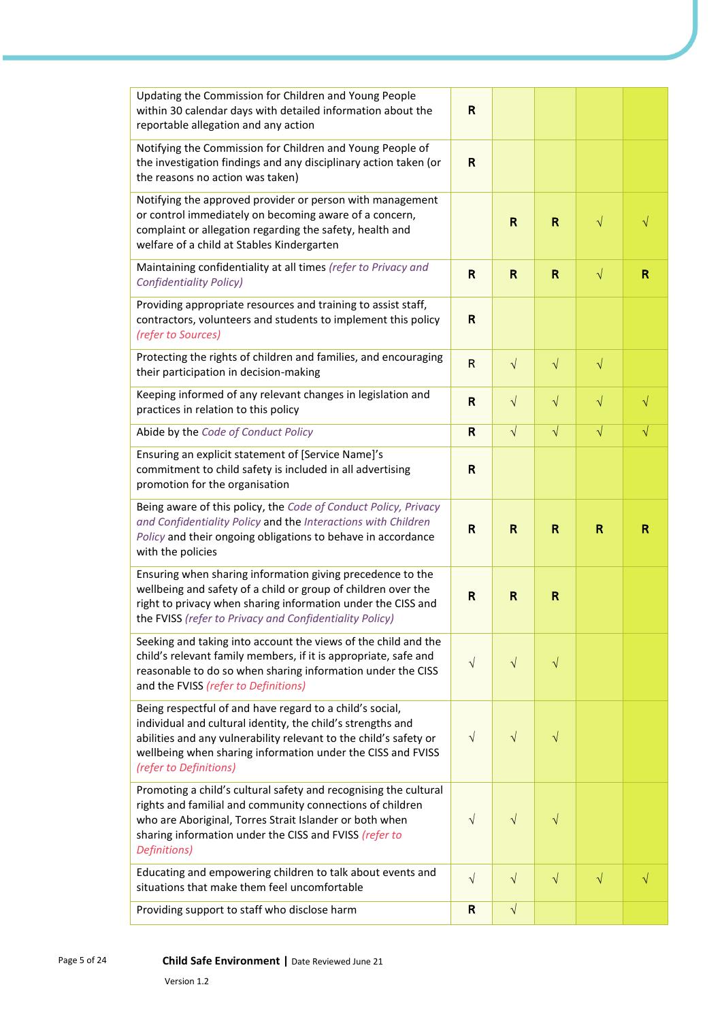| Updating the Commission for Children and Young People                                                                                                                                                                                                                                 |              |              |              |           |           |
|---------------------------------------------------------------------------------------------------------------------------------------------------------------------------------------------------------------------------------------------------------------------------------------|--------------|--------------|--------------|-----------|-----------|
| within 30 calendar days with detailed information about the<br>reportable allegation and any action                                                                                                                                                                                   | $\mathsf{R}$ |              |              |           |           |
| Notifying the Commission for Children and Young People of<br>the investigation findings and any disciplinary action taken (or<br>the reasons no action was taken)                                                                                                                     | $\mathsf{R}$ |              |              |           |           |
| Notifying the approved provider or person with management<br>or control immediately on becoming aware of a concern,<br>complaint or allegation regarding the safety, health and<br>welfare of a child at Stables Kindergarten                                                         |              | $\mathsf{R}$ | $\mathsf{R}$ | $\sqrt{}$ |           |
| Maintaining confidentiality at all times (refer to Privacy and<br><b>Confidentiality Policy)</b>                                                                                                                                                                                      | R            | $\mathsf{R}$ | $\mathsf{R}$ | $\sqrt{}$ | R         |
| Providing appropriate resources and training to assist staff,<br>contractors, volunteers and students to implement this policy<br>(refer to Sources)                                                                                                                                  | $\mathsf{R}$ |              |              |           |           |
| Protecting the rights of children and families, and encouraging<br>their participation in decision-making                                                                                                                                                                             | $\mathsf{R}$ | $\sqrt{ }$   | $\sqrt{}$    | $\sqrt{}$ |           |
| Keeping informed of any relevant changes in legislation and<br>practices in relation to this policy                                                                                                                                                                                   | $\mathsf{R}$ | $\sqrt{}$    | $\sqrt{}$    | $\sqrt{}$ | V         |
| Abide by the Code of Conduct Policy                                                                                                                                                                                                                                                   | $\mathsf{R}$ | $\sqrt{ }$   | $\sqrt{}$    | $\sqrt{}$ | $\sqrt{}$ |
| Ensuring an explicit statement of [Service Name]'s<br>commitment to child safety is included in all advertising<br>promotion for the organisation                                                                                                                                     | $\mathsf{R}$ |              |              |           |           |
| Being aware of this policy, the Code of Conduct Policy, Privacy                                                                                                                                                                                                                       |              |              |              |           |           |
| and Confidentiality Policy and the Interactions with Children<br>Policy and their ongoing obligations to behave in accordance<br>with the policies                                                                                                                                    | $\mathsf{R}$ | $\mathbf R$  | R            | R         | R         |
| Ensuring when sharing information giving precedence to the<br>wellbeing and safety of a child or group of children over the<br>right to privacy when sharing information under the CISS and<br>the FVISS (refer to Privacy and Confidentiality Policy)                                | $\mathsf{R}$ | $\mathsf{R}$ | R            |           |           |
| Seeking and taking into account the views of the child and the<br>child's relevant family members, if it is appropriate, safe and<br>reasonable to do so when sharing information under the CISS<br>and the FVISS (refer to Definitions)                                              | $\sqrt{}$    | $\sqrt{}$    | $\sqrt{}$    |           |           |
| Being respectful of and have regard to a child's social,<br>individual and cultural identity, the child's strengths and<br>abilities and any vulnerability relevant to the child's safety or<br>wellbeing when sharing information under the CISS and FVISS<br>(refer to Definitions) | $\sqrt{}$    | $\sqrt{}$    | $\sqrt{}$    |           |           |
| Promoting a child's cultural safety and recognising the cultural<br>rights and familial and community connections of children<br>who are Aboriginal, Torres Strait Islander or both when<br>sharing information under the CISS and FVISS (refer to<br>Definitions)                    | $\sqrt{}$    | $\sqrt{}$    | $\sqrt{}$    |           |           |
| Educating and empowering children to talk about events and<br>situations that make them feel uncomfortable                                                                                                                                                                            | $\sqrt{ }$   | $\sqrt{ }$   | $\sqrt{}$    | $\sqrt{}$ | $\sqrt{}$ |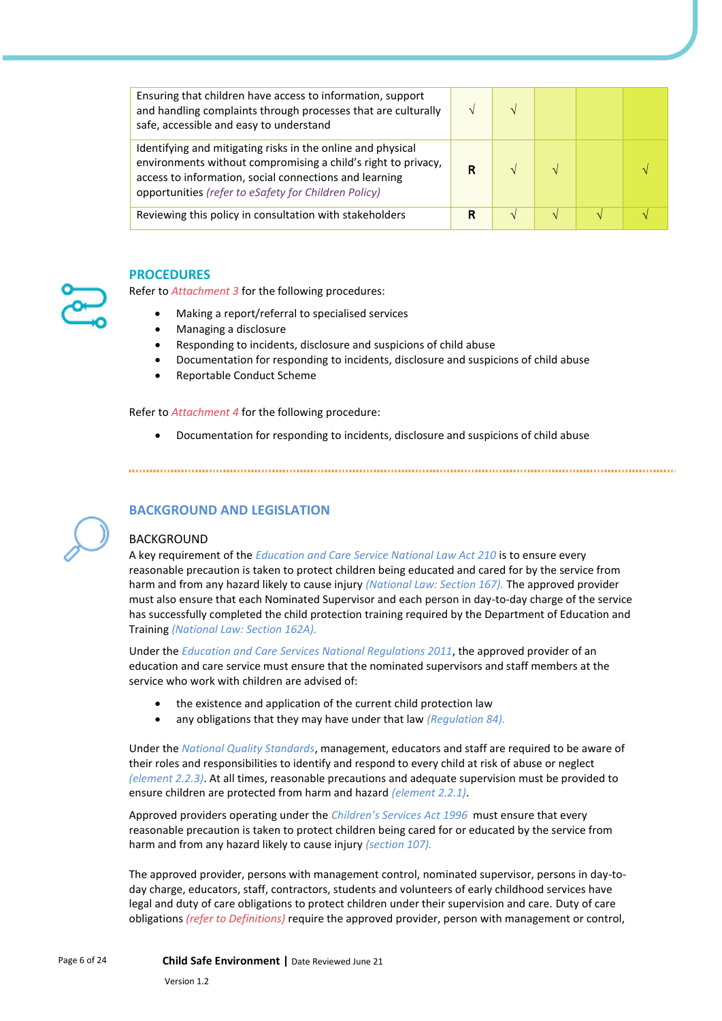| Ensuring that children have access to information, support<br>and handling complaints through processes that are culturally<br>safe, accessible and easy to understand                                                                         |   |  |  |
|------------------------------------------------------------------------------------------------------------------------------------------------------------------------------------------------------------------------------------------------|---|--|--|
| Identifying and mitigating risks in the online and physical<br>environments without compromising a child's right to privacy,<br>access to information, social connections and learning<br>opportunities (refer to eSafety for Children Policy) | R |  |  |
| Reviewing this policy in consultation with stakeholders                                                                                                                                                                                        | R |  |  |

#### **PROCEDURES**

Refer to *Attachment 3* for the following procedures:

- Making a report/referral to specialised services
- Managing a disclosure
- Responding to incidents, disclosure and suspicions of child abuse
- Documentation for responding to incidents, disclosure and suspicions of child abuse
- Reportable Conduct Scheme

Refer to *Attachment 4* for the following procedure:

• Documentation for responding to incidents, disclosure and suspicions of child abuse

## **BACKGROUND AND LEGISLATION**

#### BACKGROUND

A key requirement of the *Education and Care Service National Law Act 210* is to ensure every reasonable precaution is taken to protect children being educated and cared for by the service from harm and from any hazard likely to cause injury *(National Law: Section 167).* The approved provider must also ensure that each Nominated Supervisor and each person in day-to-day charge of the service has successfully completed the child protection training required by the Department of Education and Training *(National Law: Section 162A).*

Under the *Education and Care Services National Regulations 2011*, the approved provider of an education and care service must ensure that the nominated supervisors and staff members at the service who work with children are advised of:

- the existence and application of the current child protection law
- any obligations that they may have under that law *(Regulation 84).*

Under the *National Quality Standards*, management, educators and staff are required to be aware of their roles and responsibilities to identify and respond to every child at risk of abuse or neglect *(element 2.2.3)*. At all times, reasonable precautions and adequate supervision must be provided to ensure children are protected from harm and hazard *(element 2.2.1)*.

Approved providers operating under the *Children's Services Act 1996* must ensure that every reasonable precaution is taken to protect children being cared for or educated by the service from harm and from any hazard likely to cause injury *(section 107).*

The approved provider, persons with management control, nominated supervisor, persons in day-today charge, educators, staff, contractors, students and volunteers of early childhood services have legal and duty of care obligations to protect children under their supervision and care. Duty of care obligations *(refer to Definitions)* require the approved provider, person with management or control,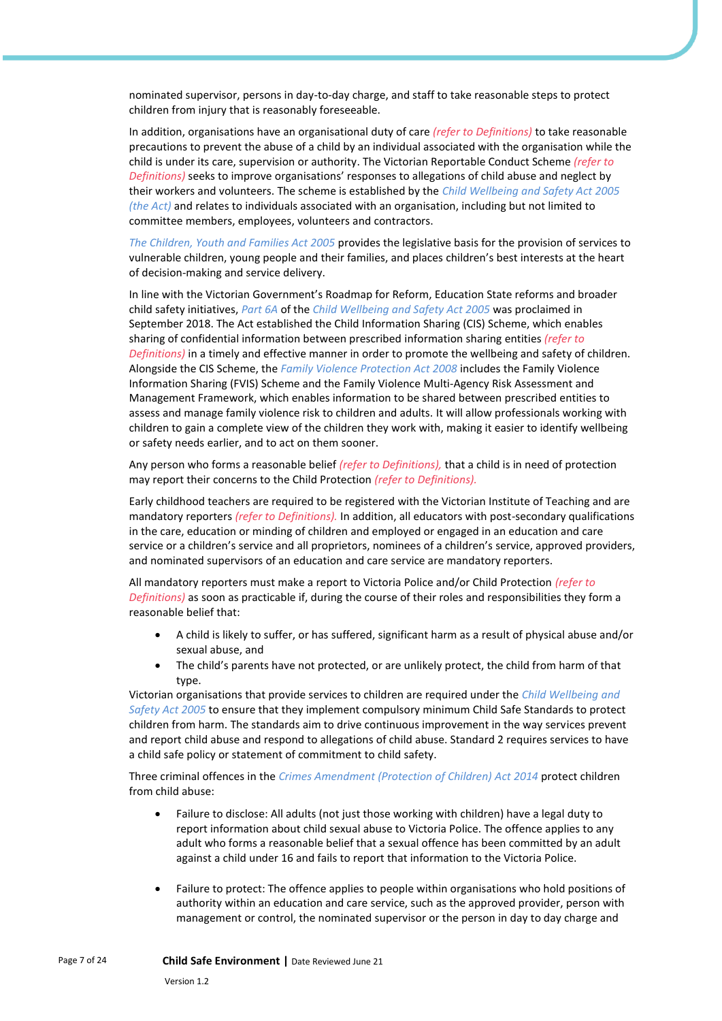nominated supervisor, persons in day-to-day charge, and staff to take reasonable steps to protect children from injury that is reasonably foreseeable.

In addition, organisations have an organisational duty of care *(refer to Definitions)* to take reasonable precautions to prevent the abuse of a child by an individual associated with the organisation while the child is under its care, supervision or authority. The Victorian Reportable Conduct Scheme *(refer to Definitions)* seeks to improve organisations' responses to allegations of child abuse and neglect by their workers and volunteers. The scheme is established by the *Child Wellbeing and Safety Act 2005 (the Act)* and relates to individuals associated with an organisation, including but not limited to committee members, employees, volunteers and contractors.

*The Children, Youth and Families Act 2005* provides the legislative basis for the provision of services to vulnerable children, young people and their families, and places children's best interests at the heart of decision-making and service delivery.

In line with the Victorian Government's Roadmap for Reform, Education State reforms and broader child safety initiatives, *Part 6A* of the *Child Wellbeing and Safety Act 2005* was proclaimed in September 2018. The Act established the Child Information Sharing (CIS) Scheme, which enables sharing of confidential information between prescribed information sharing entities *(refer to Definitions)* in a timely and effective manner in order to promote the wellbeing and safety of children. Alongside the CIS Scheme, the *Family Violence Protection Act 2008* includes the Family Violence Information Sharing (FVIS) Scheme and the Family Violence Multi-Agency Risk Assessment and Management Framework, which enables information to be shared between prescribed entities to assess and manage family violence risk to children and adults. It will allow professionals working with children to gain a complete view of the children they work with, making it easier to identify wellbeing or safety needs earlier, and to act on them sooner.

Any person who forms a reasonable belief *(refer to Definitions),* that a child is in need of protection may report their concerns to the Child Protection *(refer to Definitions).*

Early childhood teachers are required to be registered with the Victorian Institute of Teaching and are mandatory reporters *(refer to Definitions).* In addition, all educators with post-secondary qualifications in the care, education or minding of children and employed or engaged in an education and care service or a children's service and all proprietors, nominees of a children's service, approved providers, and nominated supervisors of an education and care service are mandatory reporters.

All mandatory reporters must make a report to Victoria Police and/or Child Protection *(refer to Definitions)* as soon as practicable if, during the course of their roles and responsibilities they form a reasonable belief that:

- A child is likely to suffer, or has suffered, significant harm as a result of physical abuse and/or sexual abuse, and
- The child's parents have not protected, or are unlikely protect, the child from harm of that type.

Victorian organisations that provide services to children are required under the *Child Wellbeing and Safety Act 2005* to ensure that they implement compulsory minimum Child Safe Standards to protect children from harm. The standards aim to drive continuous improvement in the way services prevent and report child abuse and respond to allegations of child abuse. Standard 2 requires services to have a child safe policy or statement of commitment to child safety.

Three criminal offences in the *Crimes Amendment (Protection of Children) Act 2014* protect children from child abuse:

- Failure to disclose: All adults (not just those working with children) have a legal duty to report information about child sexual abuse to Victoria Police. The offence applies to any adult who forms a reasonable belief that a sexual offence has been committed by an adult against a child under 16 and fails to report that information to the Victoria Police.
- Failure to protect: The offence applies to people within organisations who hold positions of authority within an education and care service, such as the approved provider, person with management or control, the nominated supervisor or the person in day to day charge and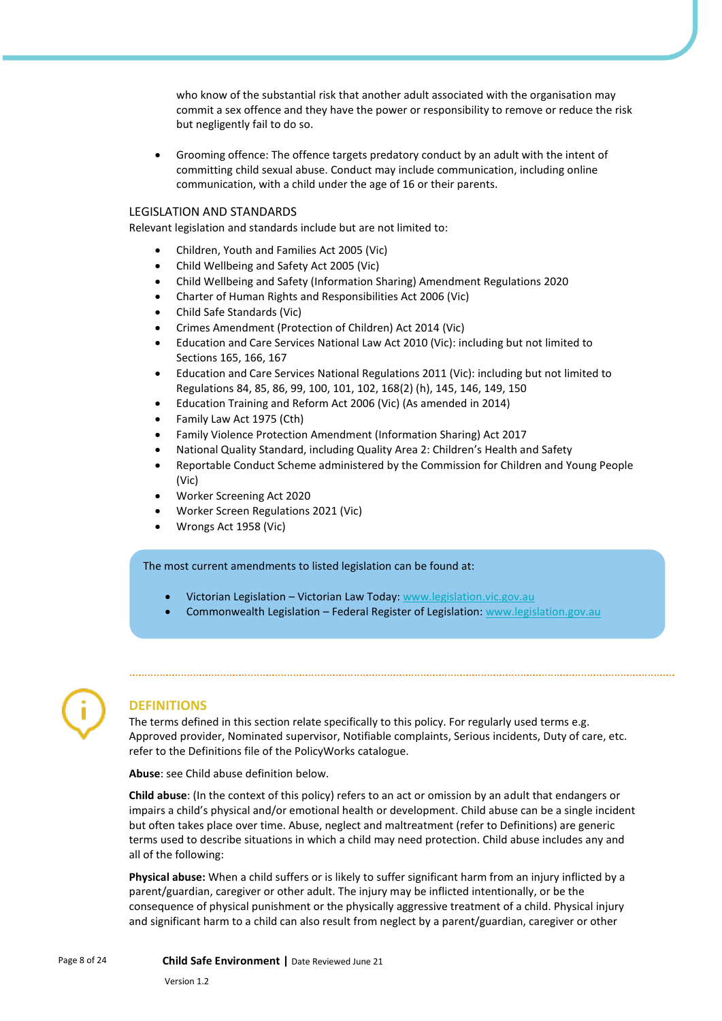who know of the substantial risk that another adult associated with the organisation may commit a sex offence and they have the power or responsibility to remove or reduce the risk but negligently fail to do so.

• Grooming offence: The offence targets predatory conduct by an adult with the intent of committing child sexual abuse. Conduct may include communication, including online communication, with a child under the age of 16 or their parents.

#### LEGISLATION AND STANDARDS

Relevant legislation and standards include but are not limited to:

- Children, Youth and Families Act 2005 (Vic)
- Child Wellbeing and Safety Act 2005 (Vic)
- Child Wellbeing and Safety (Information Sharing) Amendment Regulations 2020
- Charter of Human Rights and Responsibilities Act 2006 (Vic)
- Child Safe Standards (Vic)
- Crimes Amendment (Protection of Children) Act 2014 (Vic)
- Education and Care Services National Law Act 2010 (Vic): including but not limited to Sections 165, 166, 167
- Education and Care Services National Regulations 2011 (Vic): including but not limited to Regulations 84, 85, 86, 99, 100, 101, 102, 168(2) (h), 145, 146, 149, 150
- Education Training and Reform Act 2006 (Vic) (As amended in 2014)
- Family Law Act 1975 (Cth)
- Family Violence Protection Amendment (Information Sharing) Act 2017
- National Quality Standard, including Quality Area 2: Children's Health and Safety
- Reportable Conduct Scheme administered by the Commission for Children and Young People (Vic)
- Worker Screening Act 2020
- Worker Screen Regulations 2021 (Vic)
- Wrongs Act 1958 (Vic)

The most current amendments to listed legislation can be found at:

- Victorian Legislation Victorian Law Today[: www.legislation.vic.gov.au](https://www.legislation.vic.gov.au/)
- Commonwealth Legislation Federal Register of Legislation[: www.legislation.gov.au](https://www.legislation.gov.au/)



#### **DEFINITIONS**

The terms defined in this section relate specifically to this policy. For regularly used terms e.g. Approved provider, Nominated supervisor, Notifiable complaints, Serious incidents, Duty of care, etc. refer to the Definitions file of the PolicyWorks catalogue.

**Abuse**: see Child abuse definition below.

**Child abuse**: (In the context of this policy) refers to an act or omission by an adult that endangers or impairs a child's physical and/or emotional health or development. Child abuse can be a single incident but often takes place over time. Abuse, neglect and maltreatment (refer to Definitions) are generic terms used to describe situations in which a child may need protection. Child abuse includes any and all of the following:

**Physical abuse:** When a child suffers or is likely to suffer significant harm from an injury inflicted by a parent/guardian, caregiver or other adult. The injury may be inflicted intentionally, or be the consequence of physical punishment or the physically aggressive treatment of a child. Physical injury and significant harm to a child can also result from neglect by a parent/guardian, caregiver or other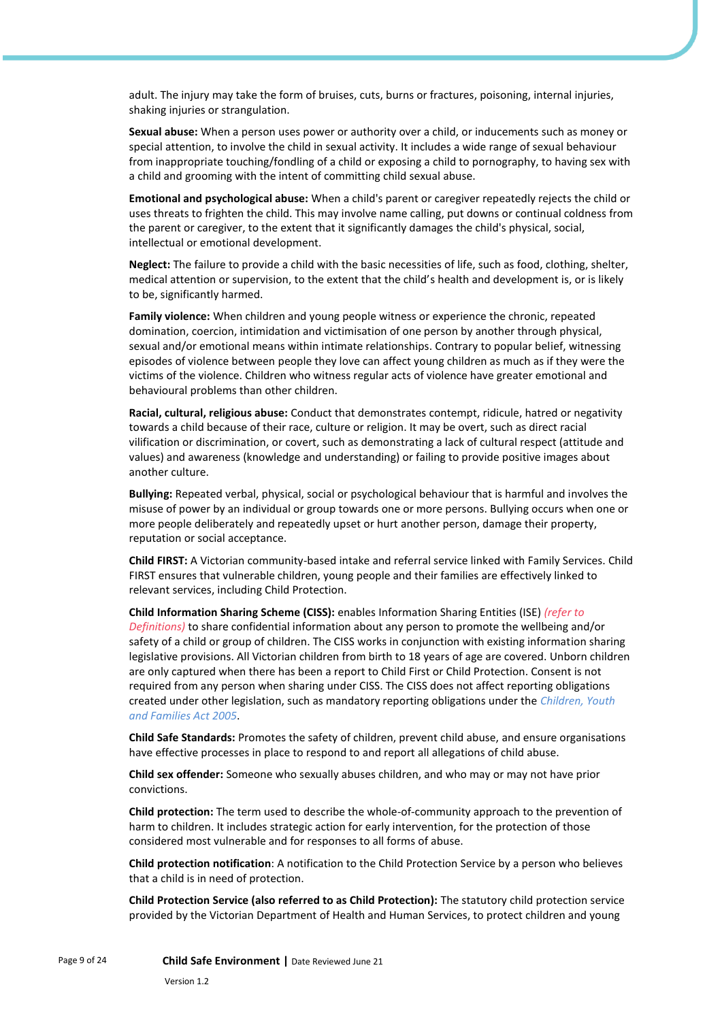adult. The injury may take the form of bruises, cuts, burns or fractures, poisoning, internal injuries, shaking injuries or strangulation.

**Sexual abuse:** When a person uses power or authority over a child, or inducements such as money or special attention, to involve the child in sexual activity. It includes a wide range of sexual behaviour from inappropriate touching/fondling of a child or exposing a child to pornography, to having sex with a child and grooming with the intent of committing child sexual abuse.

**Emotional and psychological abuse:** When a child's parent or caregiver repeatedly rejects the child or uses threats to frighten the child. This may involve name calling, put downs or continual coldness from the parent or caregiver, to the extent that it significantly damages the child's physical, social, intellectual or emotional development.

**Neglect:** The failure to provide a child with the basic necessities of life, such as food, clothing, shelter, medical attention or supervision, to the extent that the child's health and development is, or is likely to be, significantly harmed.

**Family violence:** When children and young people witness or experience the chronic, repeated domination, coercion, intimidation and victimisation of one person by another through physical, sexual and/or emotional means within intimate relationships. Contrary to popular belief, witnessing episodes of violence between people they love can affect young children as much as if they were the victims of the violence. Children who witness regular acts of violence have greater emotional and behavioural problems than other children.

**Racial, cultural, religious abuse:** Conduct that demonstrates contempt, ridicule, hatred or negativity towards a child because of their race, culture or religion. It may be overt, such as direct racial vilification or discrimination, or covert, such as demonstrating a lack of cultural respect (attitude and values) and awareness (knowledge and understanding) or failing to provide positive images about another culture.

**Bullying:** Repeated verbal, physical, social or psychological behaviour that is harmful and involves the misuse of power by an individual or group towards one or more persons. Bullying occurs when one or more people deliberately and repeatedly upset or hurt another person, damage their property, reputation or social acceptance.

**Child FIRST:** A Victorian community-based intake and referral service linked with Family Services. Child FIRST ensures that vulnerable children, young people and their families are effectively linked to relevant services, including Child Protection.

**Child Information Sharing Scheme (CISS):** enables Information Sharing Entities (ISE) *(refer to Definitions)* to share confidential information about any person to promote the wellbeing and/or safety of a child or group of children. The CISS works in conjunction with existing information sharing legislative provisions. All Victorian children from birth to 18 years of age are covered. Unborn children are only captured when there has been a report to Child First or Child Protection. Consent is not required from any person when sharing under CISS. The CISS does not affect reporting obligations created under other legislation, such as mandatory reporting obligations under the *Children, Youth and Families Act 2005*.

**Child Safe Standards:** Promotes the safety of children, prevent child abuse, and ensure organisations have effective processes in place to respond to and report all allegations of child abuse.

**Child sex offender:** Someone who sexually abuses children, and who may or may not have prior convictions.

**Child protection:** The term used to describe the whole-of-community approach to the prevention of harm to children. It includes strategic action for early intervention, for the protection of those considered most vulnerable and for responses to all forms of abuse.

**Child protection notification**: A notification to the Child Protection Service by a person who believes that a child is in need of protection.

**Child Protection Service (also referred to as Child Protection):** The statutory child protection service provided by the Victorian Department of Health and Human Services, to protect children and young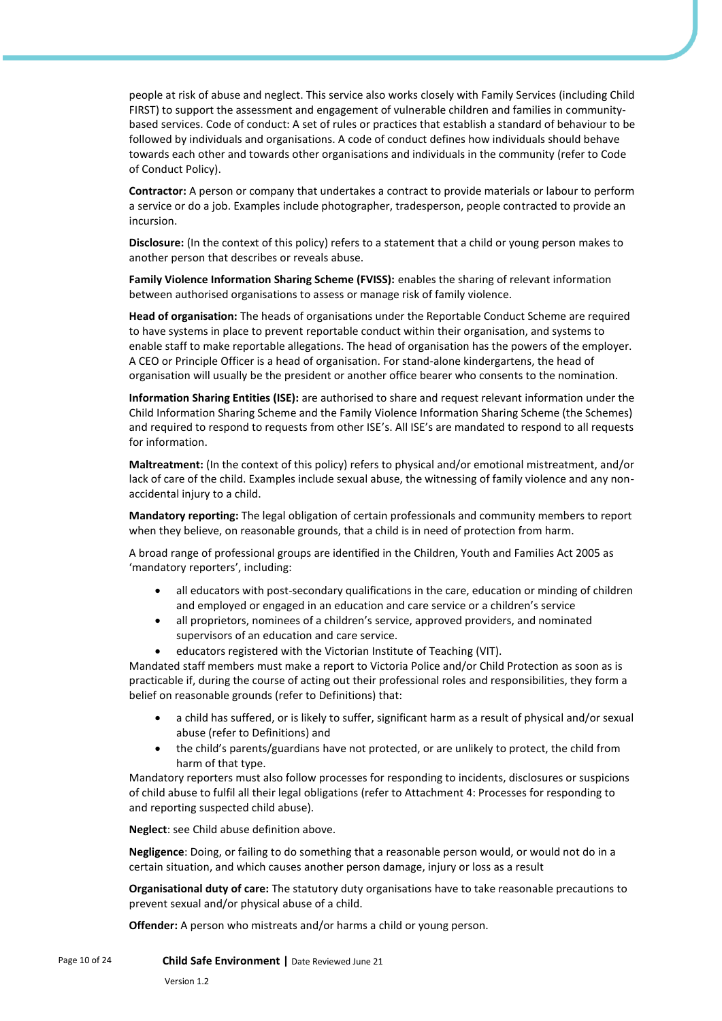people at risk of abuse and neglect. This service also works closely with Family Services (including Child FIRST) to support the assessment and engagement of vulnerable children and families in communitybased services. Code of conduct: A set of rules or practices that establish a standard of behaviour to be followed by individuals and organisations. A code of conduct defines how individuals should behave towards each other and towards other organisations and individuals in the community (refer to Code of Conduct Policy).

**Contractor:** A person or company that undertakes a contract to provide materials or labour to perform a service or do a job. Examples include photographer, tradesperson, people contracted to provide an incursion.

**Disclosure:** (In the context of this policy) refers to a statement that a child or young person makes to another person that describes or reveals abuse.

**Family Violence Information Sharing Scheme (FVISS):** enables the sharing of relevant information between authorised organisations to assess or manage risk of family violence.

**Head of organisation:** The heads of organisations under the Reportable Conduct Scheme are required to have systems in place to prevent reportable conduct within their organisation, and systems to enable staff to make reportable allegations. The head of organisation has the powers of the employer. A CEO or Principle Officer is a head of organisation. For stand-alone kindergartens, the head of organisation will usually be the president or another office bearer who consents to the nomination.

**Information Sharing Entities (ISE):** are authorised to share and request relevant information under the Child Information Sharing Scheme and the Family Violence Information Sharing Scheme (the Schemes) and required to respond to requests from other ISE's. All ISE's are mandated to respond to all requests for information.

**Maltreatment:** (In the context of this policy) refers to physical and/or emotional mistreatment, and/or lack of care of the child. Examples include sexual abuse, the witnessing of family violence and any nonaccidental injury to a child.

**Mandatory reporting:** The legal obligation of certain professionals and community members to report when they believe, on reasonable grounds, that a child is in need of protection from harm.

A broad range of professional groups are identified in the Children, Youth and Families Act 2005 as 'mandatory reporters', including:

- all educators with post-secondary qualifications in the care, education or minding of children and employed or engaged in an education and care service or a children's service
- all proprietors, nominees of a children's service, approved providers, and nominated supervisors of an education and care service.
- educators registered with the Victorian Institute of Teaching (VIT).

Mandated staff members must make a report to Victoria Police and/or Child Protection as soon as is practicable if, during the course of acting out their professional roles and responsibilities, they form a belief on reasonable grounds (refer to Definitions) that:

- a child has suffered, or is likely to suffer, significant harm as a result of physical and/or sexual abuse (refer to Definitions) and
- the child's parents/guardians have not protected, or are unlikely to protect, the child from harm of that type.

Mandatory reporters must also follow processes for responding to incidents, disclosures or suspicions of child abuse to fulfil all their legal obligations (refer to Attachment 4: Processes for responding to and reporting suspected child abuse).

**Neglect**: see Child abuse definition above.

**Negligence**: Doing, or failing to do something that a reasonable person would, or would not do in a certain situation, and which causes another person damage, injury or loss as a result

**Organisational duty of care:** The statutory duty organisations have to take reasonable precautions to prevent sexual and/or physical abuse of a child.

**Offender:** A person who mistreats and/or harms a child or young person.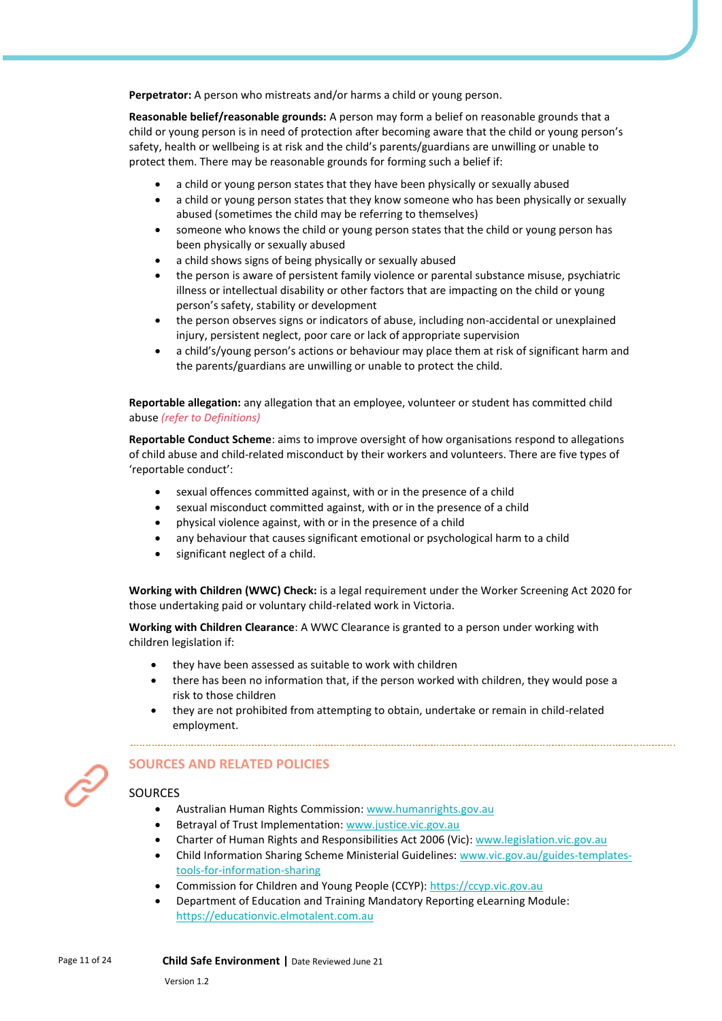**Perpetrator:** A person who mistreats and/or harms a child or young person.

**Reasonable belief/reasonable grounds:** A person may form a belief on reasonable grounds that a child or young person is in need of protection after becoming aware that the child or young person's safety, health or wellbeing is at risk and the child's parents/guardians are unwilling or unable to protect them. There may be reasonable grounds for forming such a belief if:

- a child or young person states that they have been physically or sexually abused
- a child or young person states that they know someone who has been physically or sexually abused (sometimes the child may be referring to themselves)
- someone who knows the child or young person states that the child or young person has been physically or sexually abused
- a child shows signs of being physically or sexually abused
- the person is aware of persistent family violence or parental substance misuse, psychiatric illness or intellectual disability or other factors that are impacting on the child or young person's safety, stability or development
- the person observes signs or indicators of abuse, including non-accidental or unexplained injury, persistent neglect, poor care or lack of appropriate supervision
- a child's/young person's actions or behaviour may place them at risk of significant harm and the parents/guardians are unwilling or unable to protect the child.

**Reportable allegation:** any allegation that an employee, volunteer or student has committed child abuse *(refer to Definitions)*

**Reportable Conduct Scheme**: aims to improve oversight of how organisations respond to allegations of child abuse and child-related misconduct by their workers and volunteers. There are five types of 'reportable conduct':

- sexual offences committed against, with or in the presence of a child
- sexual misconduct committed against, with or in the presence of a child
- physical violence against, with or in the presence of a child
- any behaviour that causes significant emotional or psychological harm to a child
- significant neglect of a child.

**Working with Children (WWC) Check:** is a legal requirement under the Worker Screening Act 2020 for those undertaking paid or voluntary child-related work in Victoria.

**Working with Children Clearance**: A WWC Clearance is granted to a person under working with children legislation if:

- they have been assessed as suitable to work with children
- there has been no information that, if the person worked with children, they would pose a risk to those children
- they are not prohibited from attempting to obtain, undertake or remain in child-related employment.



# **SOURCES AND RELATED POLICIES**

#### **SOURCES**

- Australian Human Rights Commission[: www.humanrights.gov.au](http://www.humanrights.gov.au/)
- Betrayal of Trust Implementation[: www.justice.vic.gov.au](http://www.justice.vic.gov.au/)
- Charter of Human Rights and Responsibilities Act 2006 (Vic): [www.legislation.vic.gov.au](http://www.legislation.vic.gov.au/)
- Child Information Sharing Scheme Ministerial Guidelines: [www.vic.gov.au/guides-templates](http://www.vic.gov.au/guides-templates-tools-for-information-sharing)[tools-for-information-sharing](http://www.vic.gov.au/guides-templates-tools-for-information-sharing)
- Commission for Children and Young People (CCYP): [https://ccyp.vic.gov.au](https://ccyp.vic.gov.au/)
- Department of Education and Training Mandatory Reporting eLearning Module: [https://educationvic.elmotalent.com.au](https://educationvic.elmotalent.com.au/)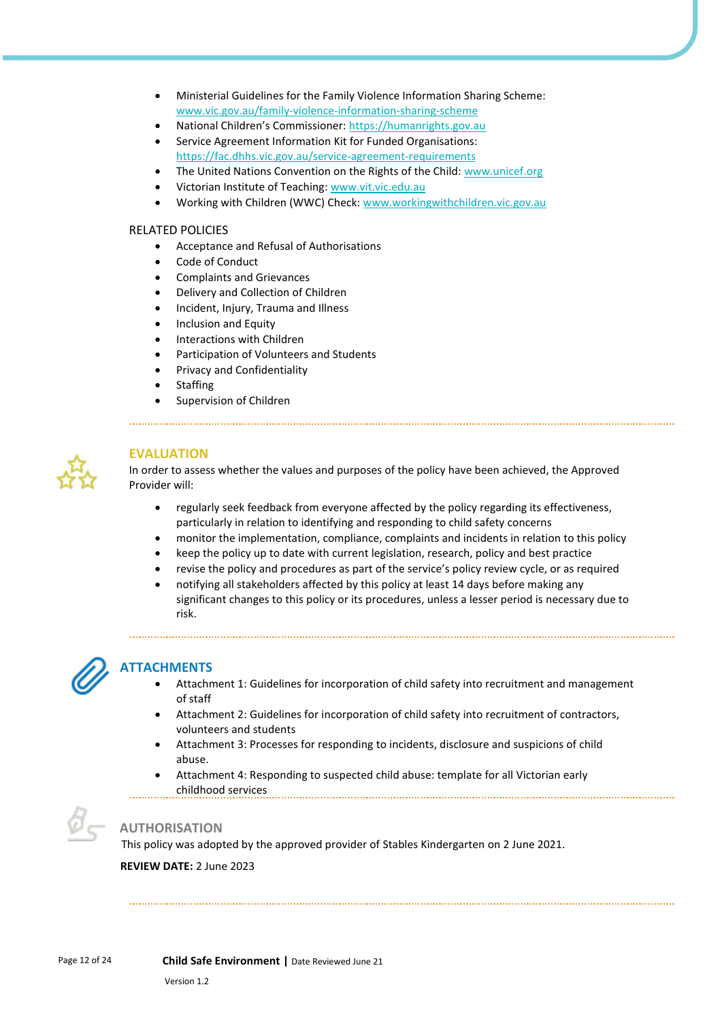- Ministerial Guidelines for the Family Violence Information Sharing Scheme: [www.vic.gov.au/family-violence-information-sharing-scheme](http://www.vic.gov.au/family-violence-information-sharing-scheme)
- National Children's Commissioner: [https://humanrights.gov.au](https://humanrights.gov.au/our-work/about-national-childrens-commissioner)
- Service Agreement Information Kit for Funded Organisations: <https://fac.dhhs.vic.gov.au/service-agreement-requirements>
- The United Nations Convention on the Rights of the Child: [www.unicef.org](http://www.unicef.org/)
- Victorian Institute of Teaching: [www.vit.vic.edu.au](http://www.vit.vic.edu.au/)
- Working with Children (WWC) Check[: www.workingwithchildren.vic.gov.au](http://www.workingwithchildren.vic.gov.au/)

## RELATED POLICIES

- Acceptance and Refusal of Authorisations
- Code of Conduct
- Complaints and Grievances
- Delivery and Collection of Children
- Incident, Injury, Trauma and Illness
- Inclusion and Equity
- Interactions with Children
- Participation of Volunteers and Students
- Privacy and Confidentiality
- **Staffing**
- Supervision of Children



# **EVALUATION**

In order to assess whether the values and purposes of the policy have been achieved, the Approved Provider will:

- regularly seek feedback from everyone affected by the policy regarding its effectiveness, particularly in relation to identifying and responding to child safety concerns
- monitor the implementation, compliance, complaints and incidents in relation to this policy
- keep the policy up to date with current legislation, research, policy and best practice
- revise the policy and procedures as part of the service's policy review cycle, or as required
- notifying all stakeholders affected by this policy at least 14 days before making any significant changes to this policy or its procedures, unless a lesser period is necessary due to risk.



# **ATTACHMENTS**

- Attachment 1: Guidelines for incorporation of child safety into recruitment and management of staff
- Attachment 2: Guidelines for incorporation of child safety into recruitment of contractors, volunteers and students
- Attachment 3: Processes for responding to incidents, disclosure and suspicions of child abuse.
- Attachment 4: Responding to suspected child abuse: template for all Victorian early childhood services



# **AUTHORISATION**

This policy was adopted by the approved provider of Stables Kindergarten on 2 June 2021.

#### **REVIEW DATE:** 2 June 2023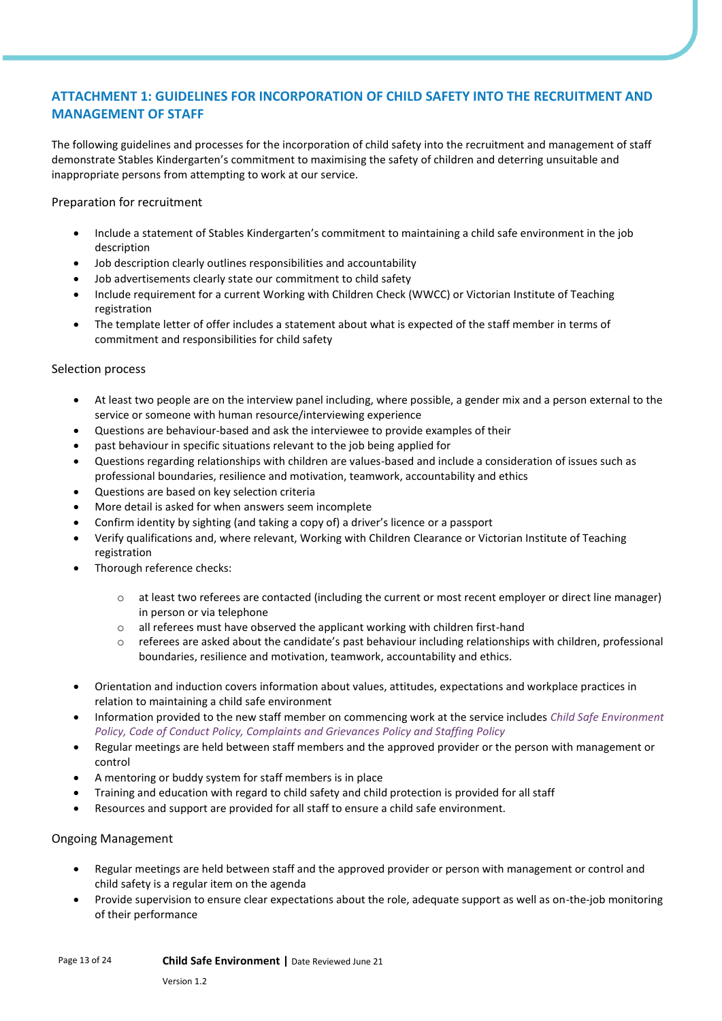# **ATTACHMENT 1: GUIDELINES FOR INCORPORATION OF CHILD SAFETY INTO THE RECRUITMENT AND MANAGEMENT OF STAFF**

The following guidelines and processes for the incorporation of child safety into the recruitment and management of staff demonstrate Stables Kindergarten's commitment to maximising the safety of children and deterring unsuitable and inappropriate persons from attempting to work at our service.

Preparation for recruitment

- Include a statement of Stables Kindergarten's commitment to maintaining a child safe environment in the job description
- Job description clearly outlines responsibilities and accountability
- Job advertisements clearly state our commitment to child safety
- Include requirement for a current Working with Children Check (WWCC) or Victorian Institute of Teaching registration
- The template letter of offer includes a statement about what is expected of the staff member in terms of commitment and responsibilities for child safety

### Selection process

- At least two people are on the interview panel including, where possible, a gender mix and a person external to the service or someone with human resource/interviewing experience
- Questions are behaviour-based and ask the interviewee to provide examples of their
- past behaviour in specific situations relevant to the job being applied for
- Questions regarding relationships with children are values-based and include a consideration of issues such as professional boundaries, resilience and motivation, teamwork, accountability and ethics
- Questions are based on key selection criteria
- More detail is asked for when answers seem incomplete
- Confirm identity by sighting (and taking a copy of) a driver's licence or a passport
- Verify qualifications and, where relevant, Working with Children Clearance or Victorian Institute of Teaching registration
- Thorough reference checks:
	- o at least two referees are contacted (including the current or most recent employer or direct line manager) in person or via telephone
	- o all referees must have observed the applicant working with children first-hand
	- $\circ$  referees are asked about the candidate's past behaviour including relationships with children, professional boundaries, resilience and motivation, teamwork, accountability and ethics.
- Orientation and induction covers information about values, attitudes, expectations and workplace practices in relation to maintaining a child safe environment
- Information provided to the new staff member on commencing work at the service includes *Child Safe Environment Policy, Code of Conduct Policy, Complaints and Grievances Policy and Staffing Policy*
- Regular meetings are held between staff members and the approved provider or the person with management or control
- A mentoring or buddy system for staff members is in place
- Training and education with regard to child safety and child protection is provided for all staff
- Resources and support are provided for all staff to ensure a child safe environment.

# Ongoing Management

- Regular meetings are held between staff and the approved provider or person with management or control and child safety is a regular item on the agenda
- Provide supervision to ensure clear expectations about the role, adequate support as well as on-the-job monitoring of their performance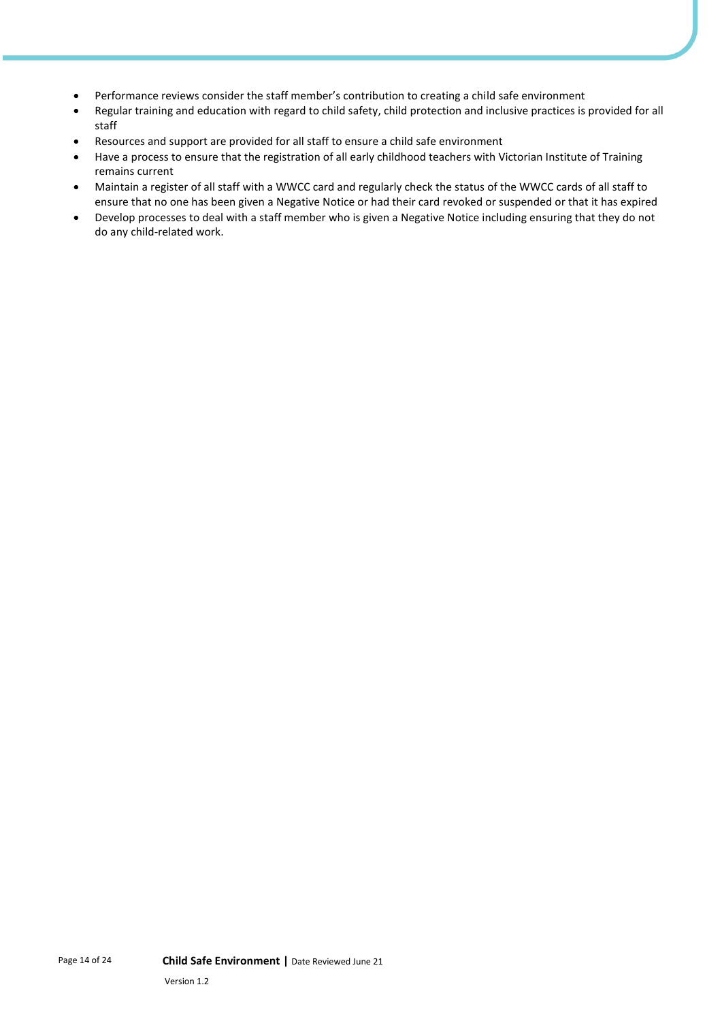- Performance reviews consider the staff member's contribution to creating a child safe environment
- Regular training and education with regard to child safety, child protection and inclusive practices is provided for all staff
- Resources and support are provided for all staff to ensure a child safe environment
- Have a process to ensure that the registration of all early childhood teachers with Victorian Institute of Training remains current
- Maintain a register of all staff with a WWCC card and regularly check the status of the WWCC cards of all staff to ensure that no one has been given a Negative Notice or had their card revoked or suspended or that it has expired
- Develop processes to deal with a staff member who is given a Negative Notice including ensuring that they do not do any child-related work.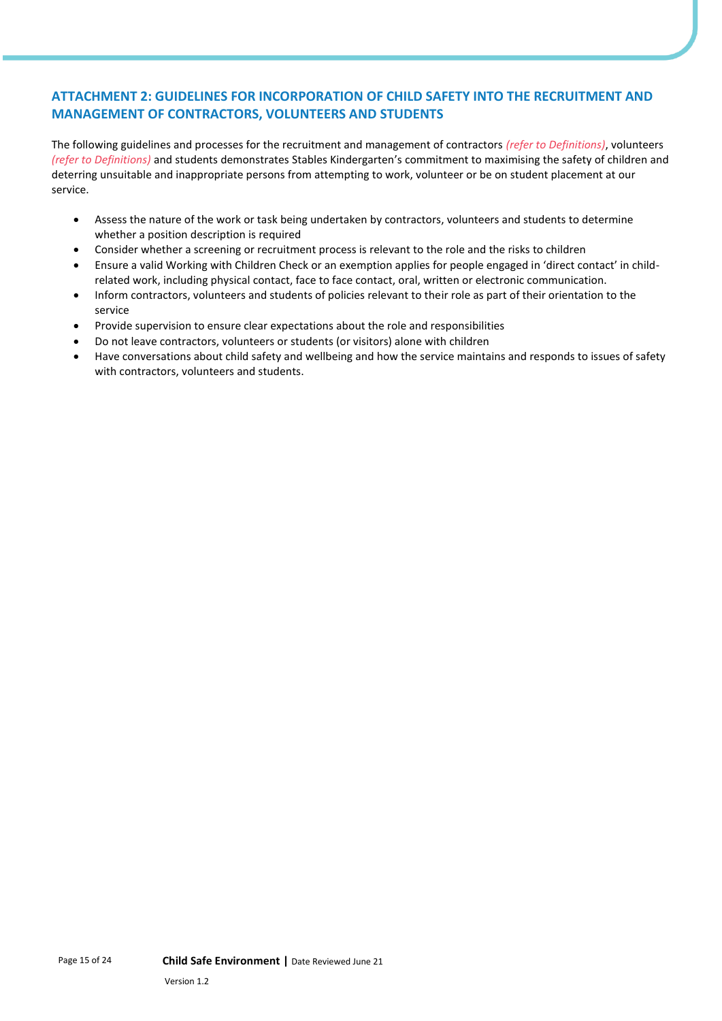# **ATTACHMENT 2: GUIDELINES FOR INCORPORATION OF CHILD SAFETY INTO THE RECRUITMENT AND MANAGEMENT OF CONTRACTORS, VOLUNTEERS AND STUDENTS**

The following guidelines and processes for the recruitment and management of contractors *(refer to Definitions)*, volunteers *(refer to Definitions)* and students demonstrates Stables Kindergarten's commitment to maximising the safety of children and deterring unsuitable and inappropriate persons from attempting to work, volunteer or be on student placement at our service.

- Assess the nature of the work or task being undertaken by contractors, volunteers and students to determine whether a position description is required
- Consider whether a screening or recruitment process is relevant to the role and the risks to children
- Ensure a valid Working with Children Check or an exemption applies for people engaged in 'direct contact' in childrelated work, including physical contact, face to face contact, oral, written or electronic communication.
- Inform contractors, volunteers and students of policies relevant to their role as part of their orientation to the service
- Provide supervision to ensure clear expectations about the role and responsibilities
- Do not leave contractors, volunteers or students (or visitors) alone with children
- Have conversations about child safety and wellbeing and how the service maintains and responds to issues of safety with contractors, volunteers and students.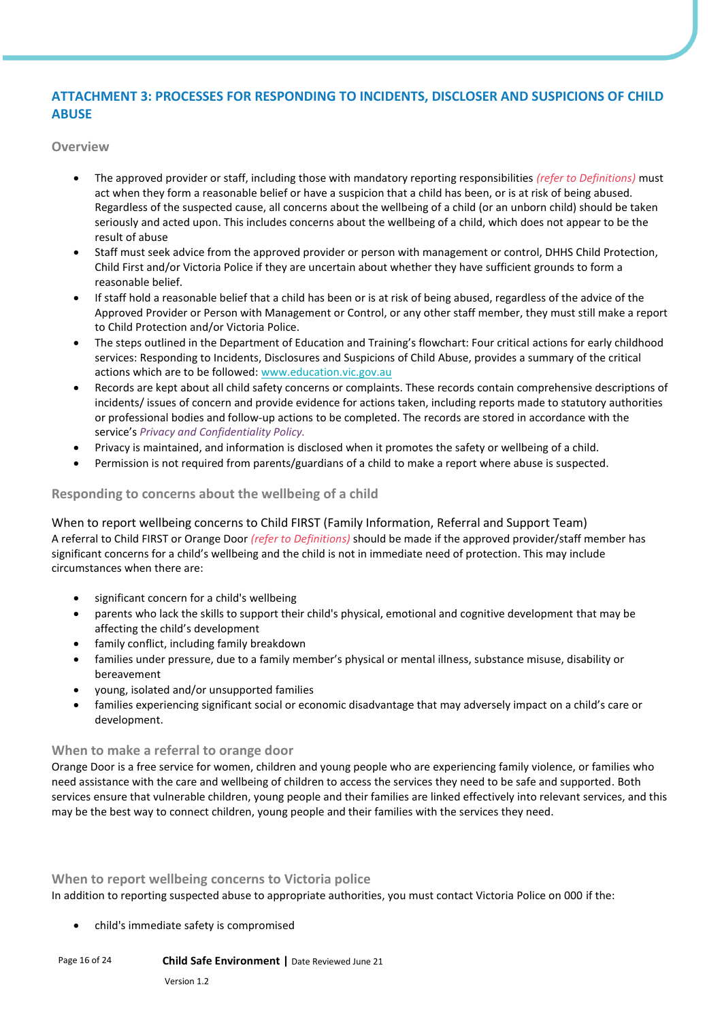# **ATTACHMENT 3: PROCESSES FOR RESPONDING TO INCIDENTS, DISCLOSER AND SUSPICIONS OF CHILD ABUSE**

**Overview**

- The approved provider or staff, including those with mandatory reporting responsibilities *(refer to Definitions)* must act when they form a reasonable belief or have a suspicion that a child has been, or is at risk of being abused. Regardless of the suspected cause, all concerns about the wellbeing of a child (or an unborn child) should be taken seriously and acted upon. This includes concerns about the wellbeing of a child, which does not appear to be the result of abuse
- Staff must seek advice from the approved provider or person with management or control, DHHS Child Protection, Child First and/or Victoria Police if they are uncertain about whether they have sufficient grounds to form a reasonable belief.
- If staff hold a reasonable belief that a child has been or is at risk of being abused, regardless of the advice of the Approved Provider or Person with Management or Control, or any other staff member, they must still make a report to Child Protection and/or Victoria Police.
- The steps outlined in the Department of Education and Training's flowchart: Four critical actions for early childhood services: Responding to Incidents, Disclosures and Suspicions of Child Abuse, provides a summary of the critical actions which are to be followed[: www.education.vic.gov.au](https://www.education.vic.gov.au/Pages/default.aspx)
- Records are kept about all child safety concerns or complaints. These records contain comprehensive descriptions of incidents/ issues of concern and provide evidence for actions taken, including reports made to statutory authorities or professional bodies and follow-up actions to be completed. The records are stored in accordance with the service's *Privacy and Confidentiality Policy.*
- Privacy is maintained, and information is disclosed when it promotes the safety or wellbeing of a child.
- Permission is not required from parents/guardians of a child to make a report where abuse is suspected.

# **Responding to concerns about the wellbeing of a child**

When to report wellbeing concerns to Child FIRST (Family Information, Referral and Support Team) A referral to Child FIRST or Orange Door *(refer to Definitions)* should be made if the approved provider/staff member has significant concerns for a child's wellbeing and the child is not in immediate need of protection. This may include circumstances when there are:

- significant concern for a child's wellbeing
- parents who lack the skills to support their child's physical, emotional and cognitive development that may be affecting the child's development
- family conflict, including family breakdown
- families under pressure, due to a family member's physical or mental illness, substance misuse, disability or bereavement
- young, isolated and/or unsupported families
- families experiencing significant social or economic disadvantage that may adversely impact on a child's care or development.

# **When to make a referral to orange door**

Orange Door is a free service for women, children and young people who are experiencing family violence, or families who need assistance with the care and wellbeing of children to access the services they need to be safe and supported. Both services ensure that vulnerable children, young people and their families are linked effectively into relevant services, and this may be the best way to connect children, young people and their families with the services they need.

#### **When to report wellbeing concerns to Victoria police**

In addition to reporting suspected abuse to appropriate authorities, you must contact Victoria Police on 000 if the:

• child's immediate safety is compromised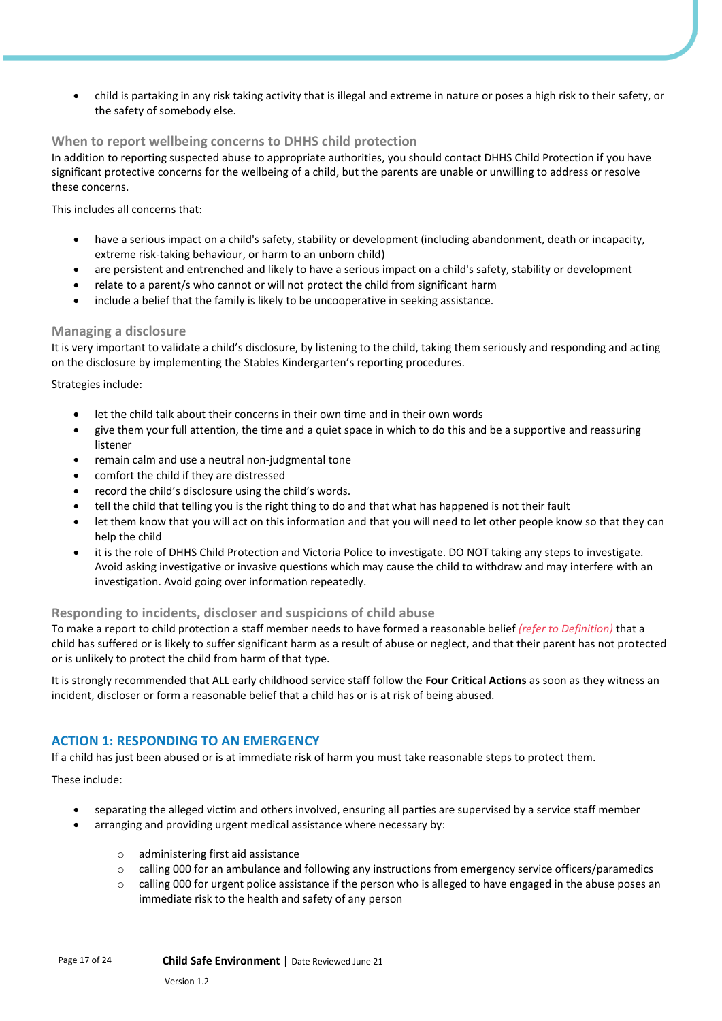• child is partaking in any risk taking activity that is illegal and extreme in nature or poses a high risk to their safety, or the safety of somebody else.

#### **When to report wellbeing concerns to DHHS child protection**

In addition to reporting suspected abuse to appropriate authorities, you should contact DHHS Child Protection if you have significant protective concerns for the wellbeing of a child, but the parents are unable or unwilling to address or resolve these concerns.

This includes all concerns that:

- have a serious impact on a child's safety, stability or development (including abandonment, death or incapacity, extreme risk-taking behaviour, or harm to an unborn child)
- are persistent and entrenched and likely to have a serious impact on a child's safety, stability or development
- relate to a parent/s who cannot or will not protect the child from significant harm
- include a belief that the family is likely to be uncooperative in seeking assistance.

#### **Managing a disclosure**

It is very important to validate a child's disclosure, by listening to the child, taking them seriously and responding and acting on the disclosure by implementing the Stables Kindergarten's reporting procedures.

Strategies include:

- let the child talk about their concerns in their own time and in their own words
- give them your full attention, the time and a quiet space in which to do this and be a supportive and reassuring listener
- remain calm and use a neutral non-judgmental tone
- comfort the child if they are distressed
- record the child's disclosure using the child's words.
- tell the child that telling you is the right thing to do and that what has happened is not their fault
- let them know that you will act on this information and that you will need to let other people know so that they can help the child
- it is the role of DHHS Child Protection and Victoria Police to investigate. DO NOT taking any steps to investigate. Avoid asking investigative or invasive questions which may cause the child to withdraw and may interfere with an investigation. Avoid going over information repeatedly.

#### **Responding to incidents, discloser and suspicions of child abuse**

To make a report to child protection a staff member needs to have formed a reasonable belief *(refer to Definition)* that a child has suffered or is likely to suffer significant harm as a result of abuse or neglect, and that their parent has not protected or is unlikely to protect the child from harm of that type.

It is strongly recommended that ALL early childhood service staff follow the **Four Critical Actions** as soon as they witness an incident, discloser or form a reasonable belief that a child has or is at risk of being abused.

# **ACTION 1: RESPONDING TO AN EMERGENCY**

If a child has just been abused or is at immediate risk of harm you must take reasonable steps to protect them.

These include:

- separating the alleged victim and others involved, ensuring all parties are supervised by a service staff member
	- arranging and providing urgent medical assistance where necessary by:
		- o administering first aid assistance
		- o calling 000 for an ambulance and following any instructions from emergency service officers/paramedics
		- $\circ$  calling 000 for urgent police assistance if the person who is alleged to have engaged in the abuse poses an immediate risk to the health and safety of any person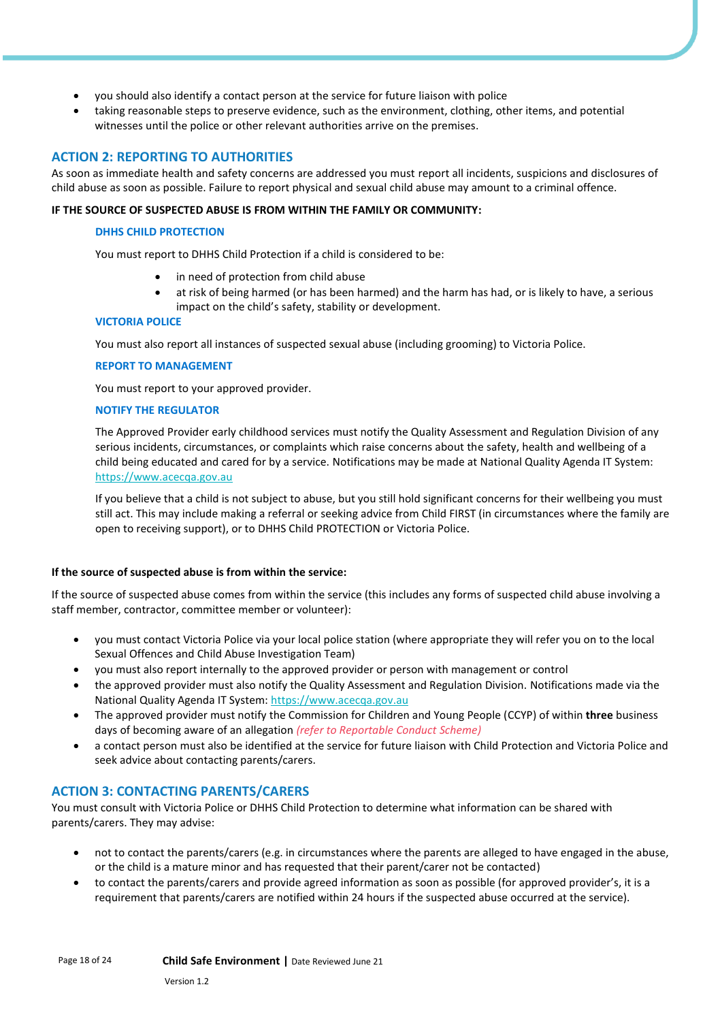- you should also identify a contact person at the service for future liaison with police
- taking reasonable steps to preserve evidence, such as the environment, clothing, other items, and potential witnesses until the police or other relevant authorities arrive on the premises.

# **ACTION 2: REPORTING TO AUTHORITIES**

As soon as immediate health and safety concerns are addressed you must report all incidents, suspicions and disclosures of child abuse as soon as possible. Failure to report physical and sexual child abuse may amount to a criminal offence.

#### **IF THE SOURCE OF SUSPECTED ABUSE IS FROM WITHIN THE FAMILY OR COMMUNITY:**

#### **DHHS CHILD PROTECTION**

You must report to DHHS Child Protection if a child is considered to be:

- in need of protection from child abuse
- at risk of being harmed (or has been harmed) and the harm has had, or is likely to have, a serious impact on the child's safety, stability or development.

#### **VICTORIA POLICE**

You must also report all instances of suspected sexual abuse (including grooming) to Victoria Police.

#### **REPORT TO MANAGEMENT**

You must report to your approved provider.

#### **NOTIFY THE REGULATOR**

The Approved Provider early childhood services must notify the Quality Assessment and Regulation Division of any serious incidents, circumstances, or complaints which raise concerns about the safety, health and wellbeing of a child being educated and cared for by a service. Notifications may be made at National Quality Agenda IT System: [https://www.acecqa.gov.au](https://www.acecqa.gov.au/)

If you believe that a child is not subject to abuse, but you still hold significant concerns for their wellbeing you must still act. This may include making a referral or seeking advice from Child FIRST (in circumstances where the family are open to receiving support), or to DHHS Child PROTECTION or Victoria Police.

#### **If the source of suspected abuse is from within the service:**

If the source of suspected abuse comes from within the service (this includes any forms of suspected child abuse involving a staff member, contractor, committee member or volunteer):

- you must contact Victoria Police via your local police station (where appropriate they will refer you on to the local Sexual Offences and Child Abuse Investigation Team)
- you must also report internally to the approved provider or person with management or control
- the approved provider must also notify the Quality Assessment and Regulation Division. Notifications made via the National Quality Agenda IT System[: https://www.acecqa.gov.au](https://www.acecqa.gov.au/)
- The approved provider must notify the Commission for Children and Young People (CCYP) of within **three** business days of becoming aware of an allegation *(refer to Reportable Conduct Scheme)*
- a contact person must also be identified at the service for future liaison with Child Protection and Victoria Police and seek advice about contacting parents/carers.

# **ACTION 3: CONTACTING PARENTS/CARERS**

You must consult with Victoria Police or DHHS Child Protection to determine what information can be shared with parents/carers. They may advise:

- not to contact the parents/carers (e.g. in circumstances where the parents are alleged to have engaged in the abuse, or the child is a mature minor and has requested that their parent/carer not be contacted)
- to contact the parents/carers and provide agreed information as soon as possible (for approved provider's, it is a requirement that parents/carers are notified within 24 hours if the suspected abuse occurred at the service).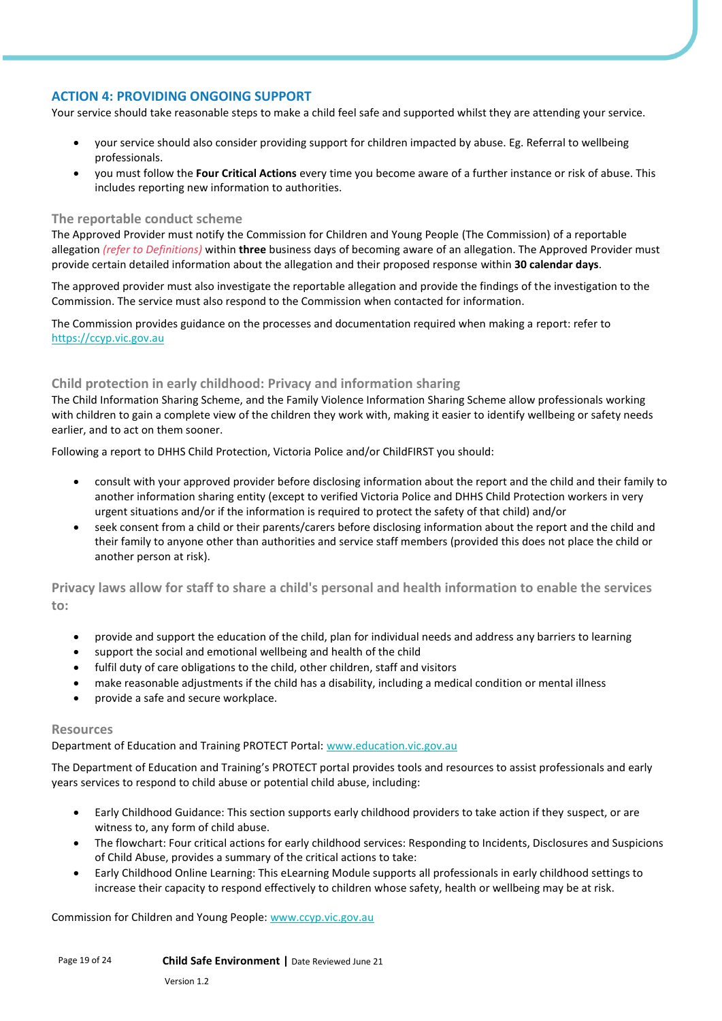# **ACTION 4: PROVIDING ONGOING SUPPORT**

Your service should take reasonable steps to make a child feel safe and supported whilst they are attending your service.

- your service should also consider providing support for children impacted by abuse. Eg. Referral to wellbeing professionals.
- you must follow the **Four Critical Actions** every time you become aware of a further instance or risk of abuse. This includes reporting new information to authorities.

#### **The reportable conduct scheme**

The Approved Provider must notify the Commission for Children and Young People (The Commission) of a reportable allegation *(refer to Definitions)* within **three** business days of becoming aware of an allegation. The Approved Provider must provide certain detailed information about the allegation and their proposed response within **30 calendar days**.

The approved provider must also investigate the reportable allegation and provide the findings of the investigation to the Commission. The service must also respond to the Commission when contacted for information.

The Commission provides guidance on the processes and documentation required when making a report: refer to [https://ccyp.vic.gov.au](https://ccyp.vic.gov.au/)

### **Child protection in early childhood: Privacy and information sharing**

The Child Information Sharing Scheme, and the Family Violence Information Sharing Scheme allow professionals working with children to gain a complete view of the children they work with, making it easier to identify wellbeing or safety needs earlier, and to act on them sooner.

Following a report to DHHS Child Protection, Victoria Police and/or ChildFIRST you should:

- consult with your approved provider before disclosing information about the report and the child and their family to another information sharing entity (except to verified Victoria Police and DHHS Child Protection workers in very urgent situations and/or if the information is required to protect the safety of that child) and/or
- seek consent from a child or their parents/carers before disclosing information about the report and the child and their family to anyone other than authorities and service staff members (provided this does not place the child or another person at risk).

**Privacy laws allow for staff to share a child's personal and health information to enable the services to:**

- provide and support the education of the child, plan for individual needs and address any barriers to learning
- support the social and emotional wellbeing and health of the child
- fulfil duty of care obligations to the child, other children, staff and visitors
- make reasonable adjustments if the child has a disability, including a medical condition or mental illness
- provide a safe and secure workplace.

#### **Resources**

Department of Education and Training PROTECT Portal: [www.education.vic.gov.au](https://www.education.vic.gov.au/Pages/default.aspx)

The Department of Education and Training's PROTECT portal provides tools and resources to assist professionals and early years services to respond to child abuse or potential child abuse, including:

- Early Childhood Guidance: This section supports early childhood providers to take action if they suspect, or are witness to, any form of child abuse.
- The flowchart: Four critical actions for early childhood services: Responding to Incidents, Disclosures and Suspicions of Child Abuse, provides a summary of the critical actions to take:
- Early Childhood Online Learning: This eLearning Module supports all professionals in early childhood settings to increase their capacity to respond effectively to children whose safety, health or wellbeing may be at risk.

Commission for Children and Young People: [www.ccyp.vic.gov.au](https://ccyp.vic.gov.au/)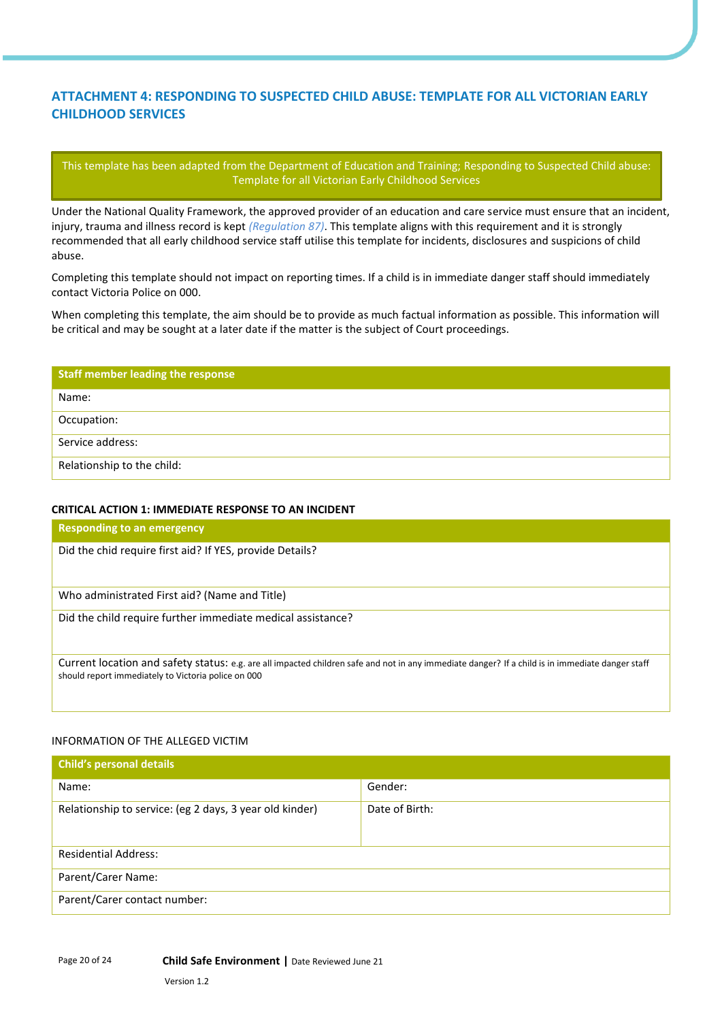# **ATTACHMENT 4: RESPONDING TO SUSPECTED CHILD ABUSE: TEMPLATE FOR ALL VICTORIAN EARLY CHILDHOOD SERVICES**

This template has been adapted from the Department of Education and Training; Responding to Suspected Child abuse: Template for all Victorian Early Childhood Services

Under the National Quality Framework, the approved provider of an education and care service must ensure that an incident, injury, trauma and illness record is kept *(Regulation 87)*. This template aligns with this requirement and it is strongly recommended that all early childhood service staff utilise this template for incidents, disclosures and suspicions of child abuse.

Completing this template should not impact on reporting times. If a child is in immediate danger staff should immediately contact Victoria Police on 000.

When completing this template, the aim should be to provide as much factual information as possible. This information will be critical and may be sought at a later date if the matter is the subject of Court proceedings.

| <b>Staff member leading the response</b> |
|------------------------------------------|
| Name:                                    |
| Occupation:                              |
| Service address:                         |
| Relationship to the child:               |

#### **CRITICAL ACTION 1: IMMEDIATE RESPONSE TO AN INCIDENT**

| Responding to an emergency                                                                                                                                                                              |
|---------------------------------------------------------------------------------------------------------------------------------------------------------------------------------------------------------|
| Did the chid require first aid? If YES, provide Details?                                                                                                                                                |
|                                                                                                                                                                                                         |
| Who administrated First aid? (Name and Title)                                                                                                                                                           |
| Did the child require further immediate medical assistance?                                                                                                                                             |
|                                                                                                                                                                                                         |
| Current location and safety status: e.g. are all impacted children safe and not in any immediate danger? If a child is in immediate danger staff<br>should report immediately to Victoria police on 000 |
|                                                                                                                                                                                                         |
|                                                                                                                                                                                                         |

### INFORMATION OF THE ALLEGED VICTIM

| <b>Child's personal details</b>                         |                |
|---------------------------------------------------------|----------------|
| Name:                                                   | Gender:        |
| Relationship to service: (eg 2 days, 3 year old kinder) | Date of Birth: |
| <b>Residential Address:</b>                             |                |
| Parent/Carer Name:                                      |                |
| Parent/Carer contact number:                            |                |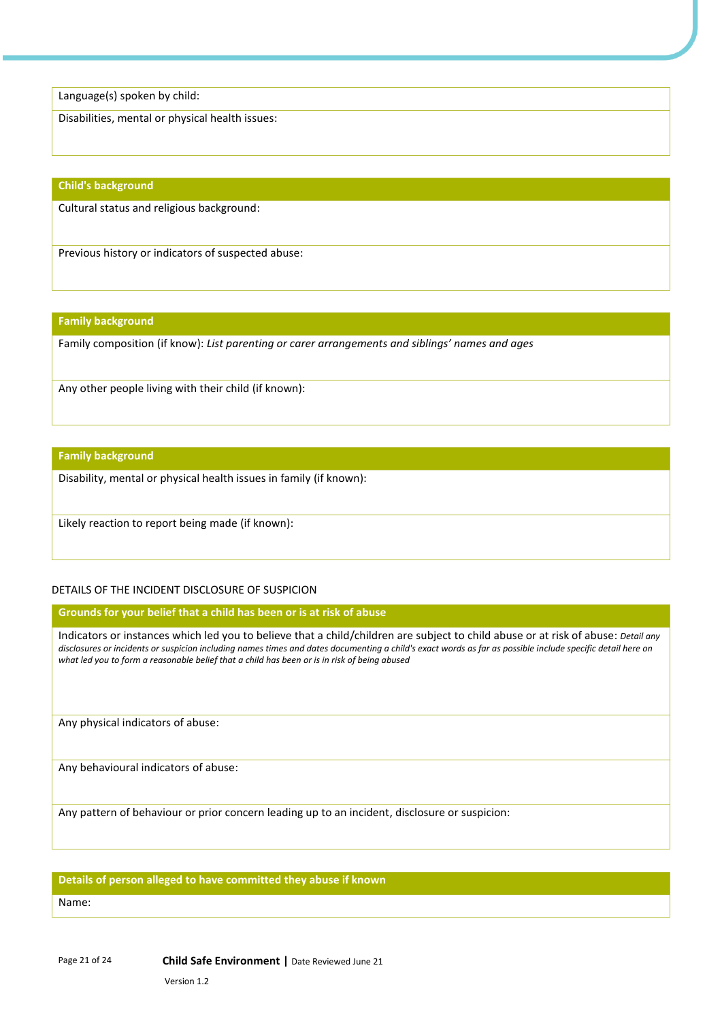Language(s) spoken by child:

Disabilities, mental or physical health issues:

#### **Child's background**

Cultural status and religious background:

Previous history or indicators of suspected abuse:

#### **Family background**

Family composition (if know): *List parenting or carer arrangements and siblings' names and ages*

Any other people living with their child (if known):

#### **Family background**

Disability, mental or physical health issues in family (if known):

Likely reaction to report being made (if known):

# DETAILS OF THE INCIDENT DISCLOSURE OF SUSPICION

**Grounds for your belief that a child has been or is at risk of abuse** 

Indicators or instances which led you to believe that a child/children are subject to child abuse or at risk of abuse: *Detail any disclosures or incidents or suspicion including names times and dates documenting a child's exact words as far as possible include specific detail here on what led you to form a reasonable belief that a child has been or is in risk of being abused*

Any physical indicators of abuse:

Any behavioural indicators of abuse:

Any pattern of behaviour or prior concern leading up to an incident, disclosure or suspicion:

#### **Details of person alleged to have committed they abuse if known**

Name: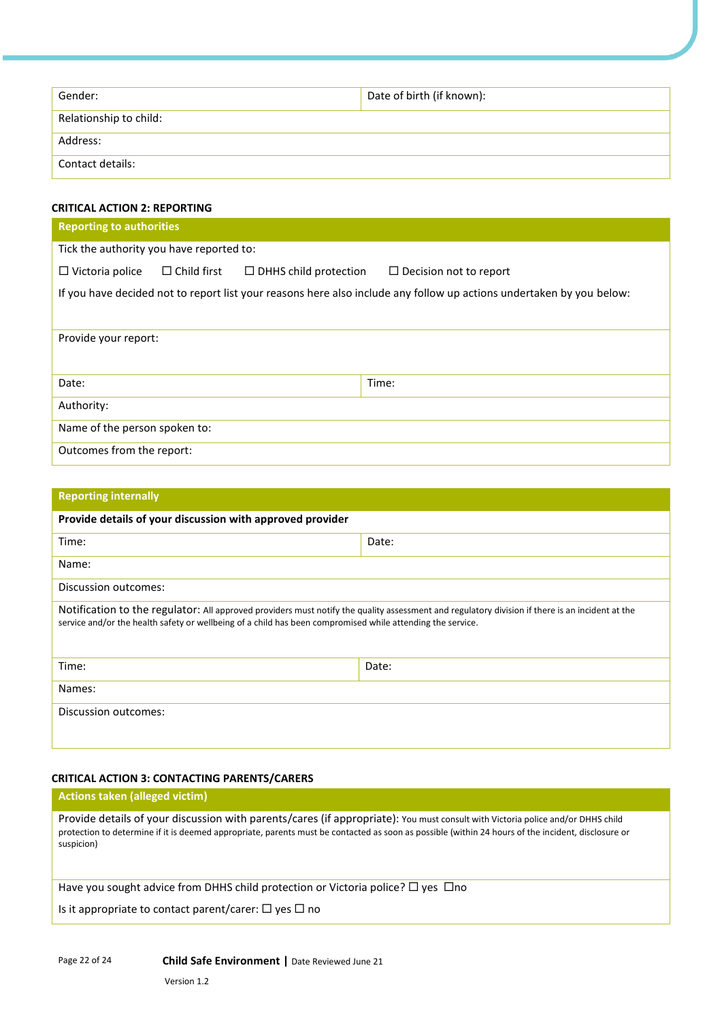| Gender:                | Date of birth (if known): |
|------------------------|---------------------------|
| Relationship to child: |                           |
| Address:               |                           |
| Contact details:       |                           |

# **CRITICAL ACTION 2: REPORTING**

| <b>Reporting to authorities</b>          |                    |                              |                                                                                                                      |
|------------------------------------------|--------------------|------------------------------|----------------------------------------------------------------------------------------------------------------------|
| Tick the authority you have reported to: |                    |                              |                                                                                                                      |
| $\Box$ Victoria police                   | $\Box$ Child first | $\Box$ DHHS child protection | $\Box$ Decision not to report                                                                                        |
|                                          |                    |                              | If you have decided not to report list your reasons here also include any follow up actions undertaken by you below: |
| Provide your report:                     |                    |                              |                                                                                                                      |
| Date:                                    |                    |                              | Time:                                                                                                                |
| Authority:                               |                    |                              |                                                                                                                      |
| Name of the person spoken to:            |                    |                              |                                                                                                                      |
| Outcomes from the report:                |                    |                              |                                                                                                                      |

| <b>Reporting internally</b>                                                                                                                                                                                                                                   |       |
|---------------------------------------------------------------------------------------------------------------------------------------------------------------------------------------------------------------------------------------------------------------|-------|
| Provide details of your discussion with approved provider                                                                                                                                                                                                     |       |
| Time:                                                                                                                                                                                                                                                         | Date: |
| Name:                                                                                                                                                                                                                                                         |       |
| Discussion outcomes:                                                                                                                                                                                                                                          |       |
| Notification to the regulator: All approved providers must notify the quality assessment and regulatory division if there is an incident at the<br>service and/or the health safety or wellbeing of a child has been compromised while attending the service. |       |
| Time:                                                                                                                                                                                                                                                         | Date: |
| Names:                                                                                                                                                                                                                                                        |       |
| Discussion outcomes:                                                                                                                                                                                                                                          |       |

### **CRITICAL ACTION 3: CONTACTING PARENTS/CARERS**

# **Actions taken (alleged victim)**

Provide details of your discussion with parents/cares (if appropriate): You must consult with Victoria police and/or DHHS child protection to determine if it is deemed appropriate, parents must be contacted as soon as possible (within 24 hours of the incident, disclosure or suspicion)

Have you sought advice from DHHS child protection or Victoria police?  $\Box$  yes  $\Box$ no

Is it appropriate to contact parent/carer:  $\Box$  yes  $\Box$  no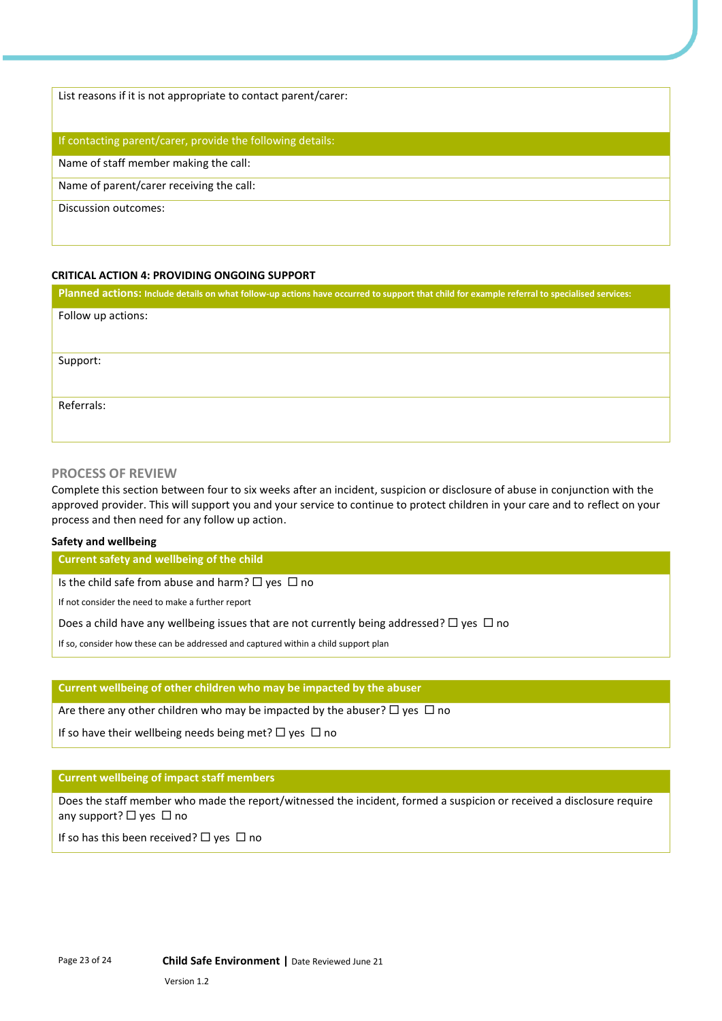List reasons if it is not appropriate to contact parent/carer:

#### If contacting parent/carer, provide the following details:

Name of staff member making the call:

Name of parent/carer receiving the call:

Discussion outcomes:

#### **CRITICAL ACTION 4: PROVIDING ONGOING SUPPORT**

| Planned actions: Include details on what follow-up actions have occurred to support that child for example referral to specialised services: |
|----------------------------------------------------------------------------------------------------------------------------------------------|
| Follow up actions:                                                                                                                           |
|                                                                                                                                              |
| Support:                                                                                                                                     |
|                                                                                                                                              |
| Referrals:                                                                                                                                   |
|                                                                                                                                              |

#### **PROCESS OF REVIEW**

Complete this section between four to six weeks after an incident, suspicion or disclosure of abuse in conjunction with the approved provider. This will support you and your service to continue to protect children in your care and to reflect on your process and then need for any follow up action.

#### **Safety and wellbeing**

**Current safety and wellbeing of the child** 

Is the child safe from abuse and harm?  $\Box$  yes  $\Box$  no

If not consider the need to make a further report

Does a child have any wellbeing issues that are not currently being addressed?  $\Box$  yes  $\Box$  no

If so, consider how these can be addressed and captured within a child support plan

#### **Current wellbeing of other children who may be impacted by the abuser**

Are there any other children who may be impacted by the abuser?  $\Box$  yes  $\Box$  no

If so have their wellbeing needs being met?  $\Box$  yes  $\Box$  no

#### **Current wellbeing of impact staff members**

Does the staff member who made the report/witnessed the incident, formed a suspicion or received a disclosure require any support?  $\Box$  yes  $\Box$  no

If so has this been received?  $\Box$  yes  $\Box$  no